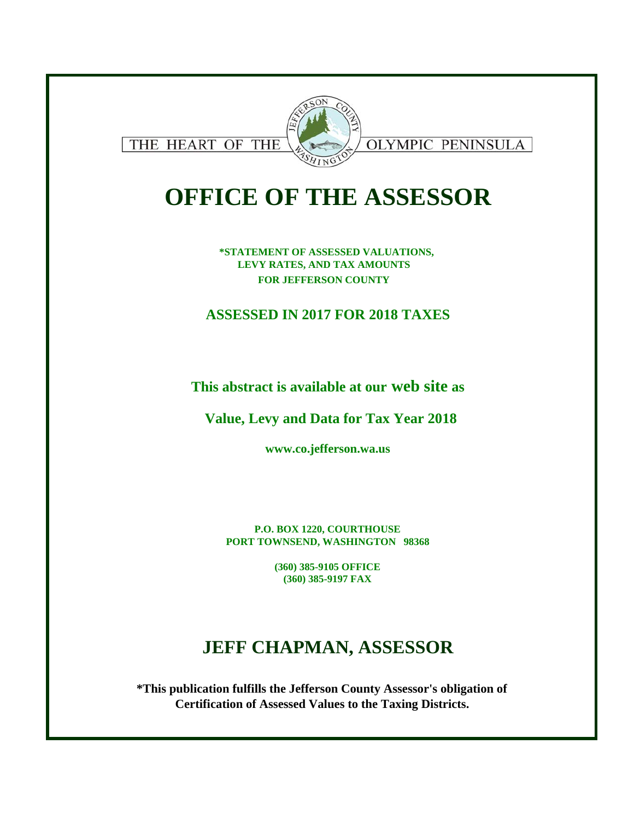

# **OFFICE OF THE ASSESSOR**

**\*STATEMENT OF ASSESSED VALUATIONS, LEVY RATES, AND TAX AMOUNTS FOR JEFFERSON COUNTY** 

### **ASSESSED IN 2017 FOR 2018 TAXES**

**This abstract is available at our web site as**

**Value, Levy and Data for Tax Year 2018**

**www.co.jefferson.wa.us**

**P.O. BOX 1220, COURTHOUSE PORT TOWNSEND, WASHINGTON 98368**

> **(360) 385-9105 OFFICE (360) 385-9197 FAX**

## **JEFF CHAPMAN, ASSESSOR**

**\*This publication fulfills the Jefferson County Assessor's obligation of Certification of Assessed Values to the Taxing Districts.**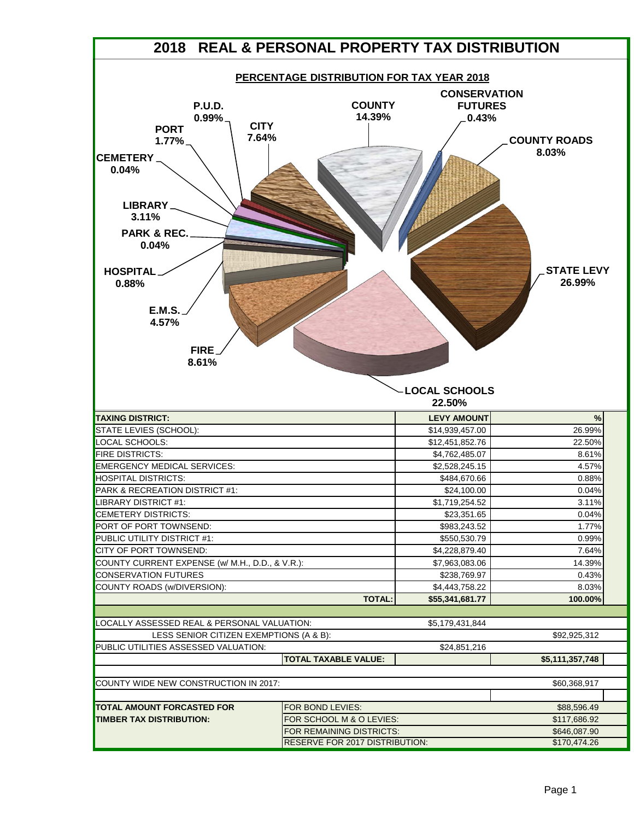|                                                                                                                                                                                                                                       | 2018 REAL & PERSONAL PROPERTY TAX DISTRIBUTION       |                                                |                                                             |
|---------------------------------------------------------------------------------------------------------------------------------------------------------------------------------------------------------------------------------------|------------------------------------------------------|------------------------------------------------|-------------------------------------------------------------|
|                                                                                                                                                                                                                                       | PERCENTAGE DISTRIBUTION FOR TAX YEAR 2018            |                                                |                                                             |
| <b>P.U.D.</b><br>$0.99\%$<br><b>CITY</b><br><b>PORT</b><br>7.64%<br>1.77%<br><b>CEMETERY</b><br>0.04%<br>LIBRARY_<br>3.11%<br><b>PARK &amp; REC.</b><br>0.04%<br><b>HOSPITAL</b><br>0.88%<br><b>E.M.S.</b><br>4.57%<br>FIRE.<br>8.61% | <b>COUNTY</b><br>14.39%                              | <b>CONSERVATION</b><br><b>FUTURES</b><br>0.43% | <b>COUNTY ROADS</b><br>8.03%<br><b>STATE LEVY</b><br>26.99% |
|                                                                                                                                                                                                                                       |                                                      | <b>LOCAL SCHOOLS</b><br>22.50%                 |                                                             |
| <b>TAXING DISTRICT:</b>                                                                                                                                                                                                               |                                                      | <b>LEVY AMOUNT</b>                             | %                                                           |
| STATE LEVIES (SCHOOL):                                                                                                                                                                                                                |                                                      | \$14,939,457.00                                | 26.99%                                                      |
| LOCAL SCHOOLS:                                                                                                                                                                                                                        |                                                      | \$12,451,852.76                                |                                                             |
| <b>FIRE DISTRICTS:</b>                                                                                                                                                                                                                |                                                      |                                                | 22.50%                                                      |
|                                                                                                                                                                                                                                       |                                                      | \$4,762,485.07                                 | 8.61%                                                       |
| <b>EMERGENCY MEDICAL SERVICES:</b>                                                                                                                                                                                                    |                                                      | \$2,528,245.15                                 | 4.57%                                                       |
| <b>HOSPITAL DISTRICTS:</b>                                                                                                                                                                                                            |                                                      | \$484,670.66                                   | 0.88%                                                       |
| <b>PARK &amp; RECREATION DISTRICT #1:</b>                                                                                                                                                                                             |                                                      | \$24,100.00                                    | 0.04%                                                       |
| LIBRARY DISTRICT #1:                                                                                                                                                                                                                  |                                                      | \$1,719,254.52                                 | 3.11%                                                       |
| <b>CEMETERY DISTRICTS:</b>                                                                                                                                                                                                            |                                                      | \$23,351.65                                    | 0.04%                                                       |
| PORT OF PORT TOWNSEND:                                                                                                                                                                                                                |                                                      | \$983,243.52                                   | 1.77%                                                       |
| <b>PUBLIC UTILITY DISTRICT #1:</b>                                                                                                                                                                                                    |                                                      | \$550,530.79                                   | 0.99%                                                       |
| CITY OF PORT TOWNSEND:                                                                                                                                                                                                                |                                                      | \$4,228,879.40                                 | 7.64%                                                       |
| COUNTY CURRENT EXPENSE (w/ M.H., D.D., & V.R.):                                                                                                                                                                                       |                                                      | \$7,963,083.06                                 | 14.39%                                                      |
| <b>CONSERVATION FUTURES</b>                                                                                                                                                                                                           |                                                      | \$238,769.97                                   | 0.43%                                                       |
| COUNTY ROADS (w/DIVERSION):                                                                                                                                                                                                           | <b>TOTAL:</b>                                        | \$4,443,758.22<br>\$55,341,681.77              | 8.03%<br>100.00%                                            |
|                                                                                                                                                                                                                                       |                                                      |                                                |                                                             |
| LOCALLY ASSESSED REAL & PERSONAL VALUATION:                                                                                                                                                                                           |                                                      | \$5,179,431,844                                |                                                             |
| LESS SENIOR CITIZEN EXEMPTIONS (A & B):                                                                                                                                                                                               |                                                      |                                                | \$92,925,312                                                |
| PUBLIC UTILITIES ASSESSED VALUATION:                                                                                                                                                                                                  | <b>TOTAL TAXABLE VALUE:</b>                          | \$24,851,216                                   | \$5,111,357,748                                             |
|                                                                                                                                                                                                                                       |                                                      |                                                |                                                             |
| COUNTY WIDE NEW CONSTRUCTION IN 2017:                                                                                                                                                                                                 |                                                      |                                                | \$60,368,917                                                |
|                                                                                                                                                                                                                                       |                                                      |                                                |                                                             |
| <b>TOTAL AMOUNT FORCASTED FOR</b>                                                                                                                                                                                                     | FOR BOND LEVIES:                                     |                                                | \$88,596.49                                                 |
| <b>TIMBER TAX DISTRIBUTION:</b>                                                                                                                                                                                                       | FOR SCHOOL M & O LEVIES:<br>FOR REMAINING DISTRICTS: |                                                | \$117,686.92<br>\$646,087.90                                |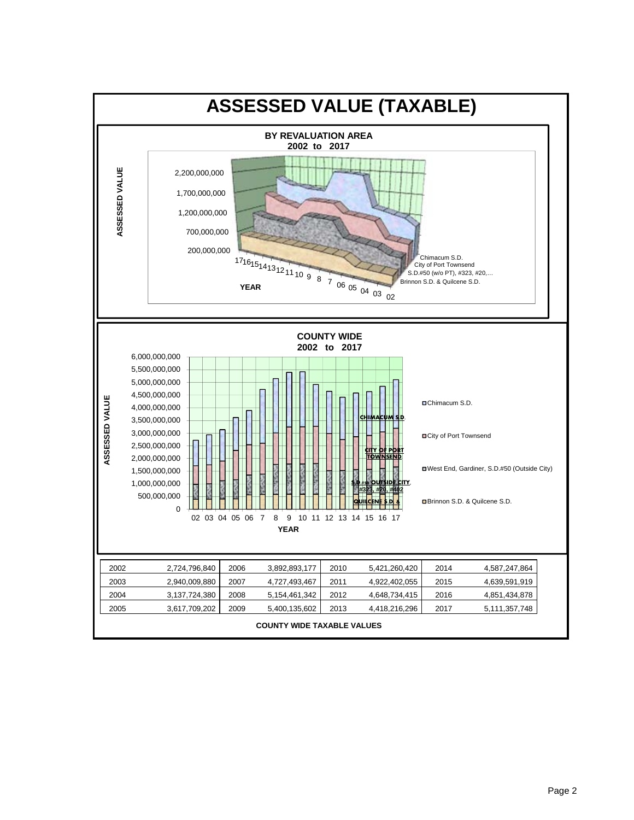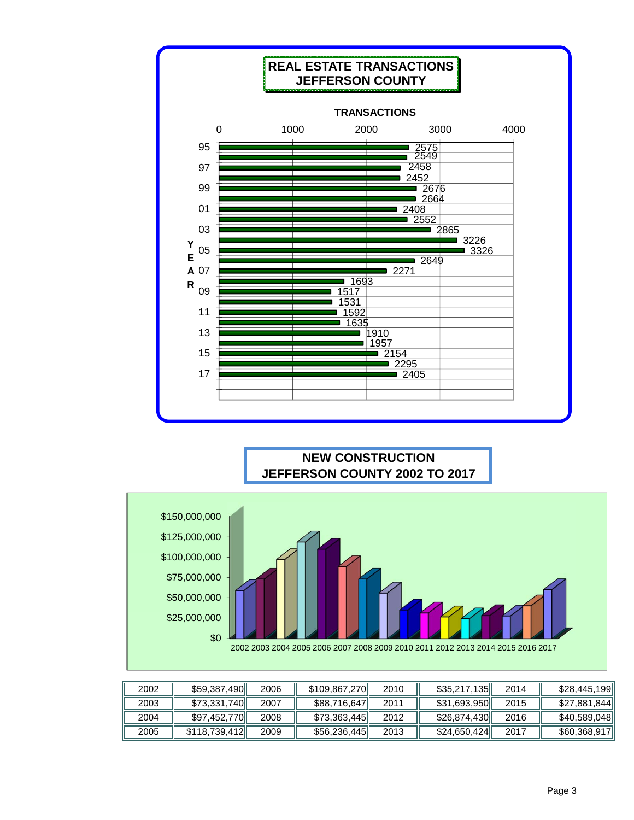

#### **NEW CONSTRUCTION JEFFERSON COUNTY 2002 TO 2017**



| 2002 | \$59,387,490  | 2006 | \$109,867,270 | 2010 | \$35,217,135 | 2014  | \$28,445,199 |
|------|---------------|------|---------------|------|--------------|-------|--------------|
| 2003 | \$73,331,740  | 2007 | \$88,716,647  | 2011 | \$31,693,950 | 2015  | \$27,881,844 |
| 2004 | \$97,452,770  | 2008 | \$73,363,445  | 2012 | \$26,874,430 | 2016  | \$40,589,048 |
| 2005 | \$118,739,412 | 2009 | \$56,236,445  | 2013 | \$24,650,424 | -2017 | \$60,368,917 |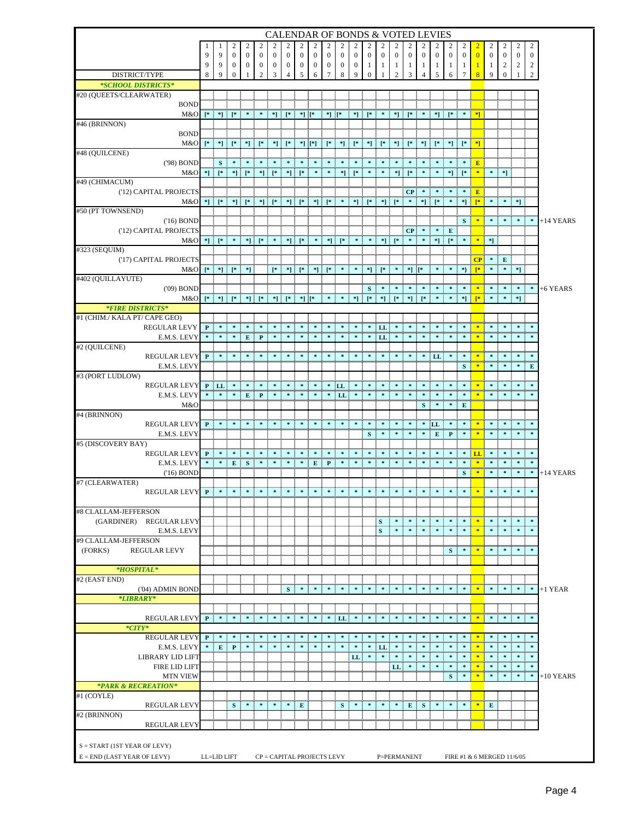|                                                                        |               |                                                                                                   |                              |                                                                                                                                  |                          |                                |                          |                              |                              | <b>CALENDAR OF BONDS &amp; VOTED LEVIES</b>                                |                                  |                                  |                        |                                           |                                                                            |                     |                                         |                    |               |                 |                              |                                                              |               |                                      |                                  |             |
|------------------------------------------------------------------------|---------------|---------------------------------------------------------------------------------------------------|------------------------------|----------------------------------------------------------------------------------------------------------------------------------|--------------------------|--------------------------------|--------------------------|------------------------------|------------------------------|----------------------------------------------------------------------------|----------------------------------|----------------------------------|------------------------|-------------------------------------------|----------------------------------------------------------------------------|---------------------|-----------------------------------------|--------------------|---------------|-----------------|------------------------------|--------------------------------------------------------------|---------------|--------------------------------------|----------------------------------|-------------|
|                                                                        |               |                                                                                                   |                              | 2                                                                                                                                | 2                        |                                |                          |                              |                              |                                                                            |                                  | 2                                | 2                      | 2                                         | 2                                                                          |                     |                                         |                    | 2             | 2               |                              |                                                              |               |                                      |                                  |             |
|                                                                        | 9<br>Q        | 9<br>9                                                                                            | $\mathbf{0}$<br>$\mathbf{0}$ | $\mathbf{0}$<br>$\bf{0}$                                                                                                         | $\mathbf{0}$<br>$\bf{0}$ | $\mathbf{0}$<br>$\mathbf{0}$   | $\theta$<br>$\mathbf{0}$ | $\mathbf{0}$<br>$\mathbf{0}$ | $\theta$<br>$\boldsymbol{0}$ | $\mathbf{0}$<br>$\boldsymbol{0}$                                           | $\mathbf{0}$<br>$\boldsymbol{0}$ | $\mathbf{0}$<br>$\boldsymbol{0}$ | $\mathbf{0}$           | $\mathbf{0}$                              | $\mathbf{0}$                                                               | $\Omega$            | $\Omega$                                | $\mathbf{0}$       | $\mathbf{0}$  | $\mathbf{0}$    | $\Omega$                     | $\overline{0}$                                               | $\Omega$<br>2 | $\Omega$<br>2                        | $\overline{0}$<br>$\overline{c}$ |             |
| DISTRICT/TYPE                                                          | 8             | 9                                                                                                 | $\mathbf{0}$                 |                                                                                                                                  | $\mathbf{2}$             | 3                              | 4                        | 5                            | 6                            | 7                                                                          | 8                                | 9                                | 1<br>$\Omega$          | 1                                         | 1                                                                          | 1                   | 1                                       | -1<br>5            | -1<br>6       |                 | 8                            | -1<br>9                                                      | $\theta$      |                                      | 2                                |             |
| *SCHOOL DISTRICTS*                                                     |               |                                                                                                   |                              |                                                                                                                                  |                          |                                |                          |                              |                              |                                                                            |                                  |                                  |                        |                                           |                                                                            |                     |                                         |                    |               |                 |                              |                                                              |               |                                      |                                  |             |
| #20 (QUEETS/CLEARWATER)                                                |               |                                                                                                   |                              |                                                                                                                                  |                          |                                |                          |                              |                              |                                                                            |                                  |                                  |                        |                                           |                                                                            |                     |                                         |                    |               |                 |                              |                                                              |               |                                      |                                  |             |
| <b>BOND</b><br>M&O                                                     |               |                                                                                                   |                              |                                                                                                                                  | $\ast$                   |                                |                          |                              |                              |                                                                            |                                  |                                  |                        | $\ast$                                    |                                                                            |                     | $\ast$                                  |                    |               | $\ast$          |                              |                                                              |               |                                      |                                  |             |
| #46 (BRINNON)                                                          |               | $\begin{bmatrix} * & * \\ * & * \end{bmatrix} \quad \begin{bmatrix} * & * \\ * & * \end{bmatrix}$ |                              |                                                                                                                                  |                          | -11                            | T* L                     | $*$ ] [ $*$                  |                              | $*$ $*$                                                                    |                                  |                                  | $*$ $*$ $*$ $*$        |                                           | ÷                                                                          | $*$ ] : [ $*$<br>J, |                                         | $*$ $*$ $*$        |               |                 | 8 * 1                        |                                                              |               |                                      |                                  |             |
| <b>BOND</b>                                                            |               |                                                                                                   |                              |                                                                                                                                  |                          |                                |                          |                              |                              |                                                                            |                                  |                                  |                        |                                           |                                                                            |                     |                                         |                    |               |                 |                              |                                                              |               |                                      |                                  |             |
| M&O                                                                    |               |                                                                                                   |                              | [* ] *] ] [* ] *] ] [* ] *] ] [* ] *] ][*]                                                                                       |                          |                                |                          |                              |                              | $[!]$ $[!]$ $[!]$                                                          |                                  |                                  |                        |                                           |                                                                            |                     | $\mathbb{R}^n$ if $\mathbb{R}^n$ if     |                    | -*11          |                 |                              |                                                              |               |                                      |                                  |             |
| #48 (QUILCENE)<br>('98) BOND                                           |               |                                                                                                   |                              |                                                                                                                                  |                          |                                |                          |                              |                              |                                                                            |                                  |                                  |                        |                                           |                                                                            |                     |                                         |                    |               |                 | E                            |                                                              |               |                                      |                                  |             |
| M&O                                                                    |               | $\mathbf{s}$ :<br>*] : [* :                                                                       |                              | $*$ ] : [ $*$                                                                                                                    | *] :                     | ⊺*                             | *1                       |                              |                              |                                                                            | *1                               |                                  |                        |                                           |                                                                            |                     |                                         |                    | *1            |                 | 米                            |                                                              | *1            |                                      |                                  |             |
| #49 (CHIMACUM)                                                         |               |                                                                                                   |                              |                                                                                                                                  |                          |                                |                          |                              |                              |                                                                            |                                  |                                  |                        |                                           |                                                                            |                     |                                         |                    |               |                 |                              |                                                              |               |                                      |                                  |             |
| ('12) CAPITAL PROJECTS                                                 |               |                                                                                                   |                              | យយានិយាយឃើញឈាននិយាយធ្វើឈាយធ្វើឈាយនិយាយធ្វើឈាយធ្វើឈាយនិយាយធ្វើឈាយនិយាយធ្វើឈាយធ្វើឈាយនិយាយធ្វើឈាយធ្វើឈាយនិយាយធ្វើឈាយធ្វើឈាយធ្វើឈាយ |                          |                                |                          |                              |                              |                                                                            |                                  |                                  |                        |                                           |                                                                            | CP:                 |                                         |                    |               |                 | ю<br>mont <mark>monie</mark> |                                                              |               |                                      |                                  |             |
| M&O<br>#50 (PT TOWNSEND)                                               |               | $*$ $*$ $*$ $*$                                                                                   | *1:                          | $\mathsf{I}^*$                                                                                                                   | *1:                      |                                | *1:                      | E                            | -11                          | T* E                                                                       | $\mathcal{R}$                    | ិ] ៖                             | - 1*                   | *] :                                      | ſ*<br>÷                                                                    | $\ast$<br>÷         |                                         | $*$ $*$ $*$ $*$    | $\approx$     |                 | $*$ $\mathbb{F}$             | $\ast$                                                       |               | $\mathbb{R}^*$                       |                                  |             |
| $(16)$ BOND                                                            |               | ոսումոսու                                                                                         |                              |                                                                                                                                  |                          |                                |                          |                              |                              |                                                                            |                                  |                                  |                        |                                           |                                                                            |                     |                                         |                    |               | S               | 一家                           | 字                                                            |               |                                      |                                  | $+14$ YEARS |
| ('12) CAPITAL PROJECTS                                                 | ասաֆ          |                                                                                                   |                              |                                                                                                                                  |                          |                                |                          |                              |                              |                                                                            |                                  |                                  |                        |                                           | យបណ្តាលយល់ថ្មីបាលបណ្តើយបានបង្ហាញយល់ថ្មីបាលបណ្តើយបានបង្ <mark>តិយាយប</mark> | CP                  |                                         |                    | $\mathbf{E}$  |                 |                              |                                                              |               |                                      |                                  |             |
| M&O<br>#323 (SEQUIM)                                                   |               | *] : [* :                                                                                         |                              | *] i                                                                                                                             |                          |                                | *1.                      |                              |                              |                                                                            |                                  |                                  |                        |                                           | $*$ $\uparrow$ $\uparrow$                                                  | 3.<br>$\cdot$       |                                         |                    | $*$ $*$ $*$   |                 |                              | *]                                                           |               |                                      |                                  |             |
| ('17) CAPITAL PROJECTS                                                 |               |                                                                                                   |                              |                                                                                                                                  |                          |                                |                          |                              |                              |                                                                            |                                  |                                  |                        |                                           |                                                                            |                     |                                         |                    |               |                 | CP <sub>i</sub>              |                                                              | $\bf E$       |                                      |                                  |             |
| M&O                                                                    |               | $[\begin{array}{cc} * & * \end{array}] \quad [\begin{array}{cc} * & * \end{array}]$               |                              | *]∶                                                                                                                              |                          | F*∃                            |                          | *] : [* :                    |                              | $*$ $\uparrow$ $\uparrow$<br>÷                                             | $\ast$                           | ×                                |                        | $*$ $*$ $*$                               | $\ast$<br>÷                                                                | $*$ if              |                                         | $\approx$          | $\ast$        |                 | $*$ } $\frac{1}{2}$ [*       | $\ast$                                                       |               | $*$ $*$ $*$ $\overline{\phantom{a}}$ |                                  |             |
| #402 (QUILLAYUTE)                                                      |               |                                                                                                   |                              |                                                                                                                                  |                          |                                |                          |                              |                              |                                                                            |                                  |                                  |                        |                                           |                                                                            |                     |                                         |                    |               |                 |                              |                                                              |               |                                      |                                  |             |
| $(09)$ BOND<br>M&O                                                     |               | $[$ * $]$ * $]$                                                                                   | ia ny a                      |                                                                                                                                  | $*$ $*$                  | *1                             | - F* 3                   | *] :[*                       |                              | $\mathcal{R}$                                                              | $\mathcal{R}$                    | *1                               | S<br>-3                | $\cdot$                                   | $\mathcal{R}$                                                              |                     |                                         | $\approx$          | $\ast$        | $\approx$<br>*1 |                              | $\ast$                                                       |               | 米王科                                  | $\cdot$                          | +6 YEARS    |
| *FIRE DISTRICTS*                                                       |               |                                                                                                   |                              |                                                                                                                                  |                          |                                |                          |                              |                              |                                                                            |                                  |                                  |                        |                                           |                                                                            |                     |                                         |                    |               |                 |                              |                                                              |               |                                      |                                  |             |
| #1 (CHIM./ KALA PT/ CAPE GEO)                                          |               |                                                                                                   |                              |                                                                                                                                  |                          |                                |                          |                              |                              |                                                                            |                                  |                                  |                        |                                           |                                                                            |                     |                                         |                    |               |                 |                              |                                                              |               |                                      |                                  |             |
| <b>REGULAR LEVY</b>                                                    |               | $\mathbf{P}$ :                                                                                    |                              |                                                                                                                                  |                          |                                |                          |                              |                              |                                                                            |                                  |                                  |                        | $ $ LL                                    |                                                                            |                     |                                         |                    |               |                 |                              |                                                              |               |                                      |                                  |             |
| E.M.S. LEVY<br>#2 (QUILCENE)                                           |               |                                                                                                   |                              | E                                                                                                                                | $\mathbf{P}$             |                                |                          |                              |                              |                                                                            |                                  |                                  | $\approx$              | LL                                        |                                                                            |                     |                                         |                    |               |                 |                              |                                                              |               |                                      |                                  |             |
| <b>REGULAR LEVY</b>                                                    |               | $P$ $*$                                                                                           |                              |                                                                                                                                  |                          |                                |                          |                              |                              |                                                                            |                                  |                                  |                        |                                           |                                                                            |                     |                                         | LL                 |               |                 |                              | $\approx$                                                    |               |                                      |                                  |             |
| E.M.S. LEVY                                                            |               |                                                                                                   |                              |                                                                                                                                  |                          |                                |                          |                              |                              |                                                                            |                                  |                                  |                        |                                           |                                                                            |                     |                                         |                    |               | S               |                              |                                                              |               |                                      | E                                |             |
| #3 (PORT LUDLOW)                                                       |               |                                                                                                   |                              |                                                                                                                                  |                          |                                |                          |                              |                              |                                                                            |                                  |                                  |                        |                                           |                                                                            |                     |                                         |                    |               |                 |                              |                                                              |               |                                      |                                  |             |
| <b>REGULAR LEVY</b><br>E.M.S. LEVY                                     |               | $P$ [LL]<br>$\pm$ $\pm$                                                                           |                              |                                                                                                                                  | $E \cdot P$              |                                |                          |                              |                              |                                                                            | L <br>$1$ LL                     |                                  |                        |                                           |                                                                            |                     |                                         |                    |               |                 |                              |                                                              |               |                                      |                                  |             |
| M&O                                                                    |               |                                                                                                   |                              |                                                                                                                                  |                          |                                |                          |                              |                              |                                                                            |                                  |                                  |                        |                                           |                                                                            |                     | S <sub>1</sub>                          | $\approx$          | $\approx$     | E               |                              |                                                              |               |                                      |                                  |             |
| #4 (BRINNON)                                                           |               |                                                                                                   |                              |                                                                                                                                  |                          |                                |                          |                              |                              |                                                                            |                                  |                                  |                        |                                           |                                                                            |                     |                                         |                    |               |                 |                              |                                                              |               |                                      |                                  |             |
| <b>REGULAR LEVY</b><br>E.M.S. LEVY                                     |               | $P$ $*$                                                                                           |                              | $\cdot$                                                                                                                          |                          |                                |                          |                              |                              |                                                                            |                                  |                                  |                        |                                           |                                                                            |                     | $\quad \bullet \quad \mathbf{LL} \quad$ | E                  | P             |                 | 零                            |                                                              |               |                                      |                                  |             |
| #5 (DISCOVERY BAY)                                                     |               |                                                                                                   |                              |                                                                                                                                  |                          |                                |                          |                              |                              |                                                                            |                                  |                                  | s                      |                                           |                                                                            |                     |                                         |                    |               |                 |                              |                                                              |               |                                      |                                  |             |
| <b>REGULAR LEVY</b>                                                    | $\mathbf{P}$  | <u>ການການັກການກາ</u><br>÷<br>-8                                                                   | <b>FOR</b>                   | -8                                                                                                                               |                          |                                |                          |                              |                              |                                                                            |                                  |                                  |                        |                                           |                                                                            |                     |                                         |                    |               |                 |                              |                                                              |               |                                      |                                  |             |
| E.M.S. LEVY                                                            |               | ասանասան                                                                                          |                              |                                                                                                                                  |                          |                                |                          |                              | E                            |                                                                            |                                  |                                  |                        |                                           |                                                                            |                     |                                         |                    |               |                 | 学                            |                                                              |               |                                      |                                  |             |
| $(16)$ BOND<br>#7 (CLEARWATER)                                         |               |                                                                                                   |                              |                                                                                                                                  |                          |                                |                          |                              |                              |                                                                            |                                  |                                  |                        |                                           |                                                                            |                     |                                         |                    |               | S               | 常                            |                                                              |               |                                      |                                  | +14 YEARS   |
| <b>REGULAR LEVY</b>                                                    | $\mathbf{P}$  |                                                                                                   |                              |                                                                                                                                  |                          |                                |                          |                              |                              |                                                                            |                                  |                                  |                        |                                           |                                                                            |                     |                                         |                    |               |                 |                              | បន្តិយាយបណ្ត <mark>ិយាយបណ្ត</mark> ិយាយបណ្តាយយបណ្តាយយបណ្តាយយ |               |                                      |                                  |             |
|                                                                        |               |                                                                                                   |                              |                                                                                                                                  |                          |                                |                          |                              |                              |                                                                            |                                  |                                  |                        |                                           |                                                                            |                     |                                         |                    |               |                 |                              |                                                              |               |                                      |                                  |             |
| #8 CLALLAM-JEFFERSON<br>(GARDINER) REGULAR LEVY                        |               |                                                                                                   |                              |                                                                                                                                  |                          |                                |                          |                              |                              |                                                                            |                                  |                                  |                        |                                           |                                                                            |                     |                                         |                    |               |                 |                              |                                                              |               |                                      |                                  |             |
| E.M.S. LEVY                                                            |               |                                                                                                   |                              |                                                                                                                                  |                          |                                |                          |                              |                              |                                                                            |                                  |                                  |                        | ' S<br><b>Anno</b><br>$\blacksquare$<br>× | $\mathcal{R}$                                                              | $\ast$              | $\approx$<br>Ξ                          | Ŧ<br>$\mathcal{R}$ | $\cdot$       | $\ast$          | <u>mmu</u><br>$\ast$         | $\ast$                                                       | $\ast$        |                                      | - 14                             |             |
| #9 CLALLAM-JEFFERSON                                                   |               |                                                                                                   |                              |                                                                                                                                  |                          |                                |                          |                              |                              |                                                                            |                                  |                                  |                        |                                           |                                                                            |                     |                                         |                    |               |                 |                              |                                                              |               |                                      |                                  |             |
| (FORKS)<br><b>REGULAR LEVY</b>                                         |               |                                                                                                   |                              |                                                                                                                                  |                          |                                |                          |                              |                              |                                                                            |                                  |                                  |                        |                                           |                                                                            |                     |                                         |                    | S             | $\approx$       | $\frac{1}{2}$                | $\approx$                                                    | $\mathcal{R}$ | $\cdot$                              | 米                                |             |
| *HOSPITAL*                                                             |               |                                                                                                   |                              |                                                                                                                                  |                          |                                |                          |                              |                              |                                                                            |                                  |                                  |                        |                                           |                                                                            |                     |                                         |                    |               |                 |                              |                                                              |               |                                      |                                  |             |
| #2 (EAST END)                                                          |               |                                                                                                   |                              |                                                                                                                                  |                          |                                |                          |                              |                              |                                                                            |                                  |                                  |                        |                                           |                                                                            |                     |                                         |                    |               |                 |                              |                                                              |               |                                      |                                  |             |
| ('04) ADMIN BOND                                                       |               |                                                                                                   |                              |                                                                                                                                  |                          |                                | S                        |                              |                              | $\mathcal{R}$                                                              |                                  |                                  |                        |                                           |                                                                            |                     |                                         |                    | $\mathcal{R}$ |                 | $\frac{1}{2}$                | $\pm$ .                                                      | $\ast$        | -31<br>$\ast$                        | $\sim$ $\,$                      | $+1$ YEAR   |
| *LIBRARY*                                                              |               |                                                                                                   |                              |                                                                                                                                  |                          |                                |                          |                              |                              |                                                                            |                                  |                                  |                        |                                           |                                                                            |                     |                                         |                    |               |                 |                              |                                                              |               |                                      |                                  |             |
| <b>REGULAR LEVY</b>                                                    |               | <u>mummun</u>                                                                                     |                              | $P$ $*$ $*$ $*$ $*$                                                                                                              | $\ast$                   | $\mathcal{R}=\mathcal{R}$<br>÷ |                          |                              |                              | $\ast \texttt{++} \texttt{++} \texttt{++} \texttt{+} \texttt{!} \texttt{}$ |                                  |                                  |                        |                                           | - 先言 先言 先言 先言 先言 未言 未言 未言 <mark>未言</mark>                                  |                     |                                         |                    |               |                 |                              |                                                              |               | $*$ $*$ $*$ $*$ $*$                  |                                  |             |
| $*CITY*$                                                               |               |                                                                                                   |                              |                                                                                                                                  |                          |                                |                          |                              |                              |                                                                            |                                  |                                  |                        |                                           |                                                                            |                     |                                         |                    |               |                 |                              |                                                              |               |                                      |                                  |             |
| <b>REGULAR LEVY</b>                                                    | $P^{\dagger}$ | $\approx$                                                                                         | $\mathcal{R}$                | $\ast$                                                                                                                           |                          |                                |                          |                              |                              |                                                                            |                                  |                                  |                        | $\ast$                                    |                                                                            |                     |                                         |                    |               |                 |                              |                                                              |               |                                      |                                  |             |
| E.M.S. LEVY<br>LIBRARY LID LIFT                                        | $\mathcal{R}$ | E P                                                                                               |                              | $\approx$                                                                                                                        | $\approx$                |                                |                          |                              |                              |                                                                            |                                  | $\approx$<br>anan an<br>LL       | $\approx$<br>$\approx$ | LL <br>យយាយយាយយា<br>字                     | $\mathcal{R}$                                                              |                     |                                         |                    |               |                 |                              |                                                              |               |                                      |                                  |             |
| FIRE LID LIFT                                                          |               |                                                                                                   |                              |                                                                                                                                  |                          |                                |                          |                              |                              |                                                                            |                                  |                                  |                        |                                           | $\left[\begin{array}{c}\mathbf{LL}\end{array}\right]$                      |                     |                                         | $\mathcal{R}$      | $\ast$        | *               | $\frac{1}{2}$                | $\ast$                                                       | $\ast$        | $\mathbb{R}^n \times \mathbb{R}^n$   | $\pm$                            |             |
| <b>MTN VIEW</b>                                                        | ասպա          |                                                                                                   |                              |                                                                                                                                  |                          |                                |                          |                              |                              |                                                                            |                                  |                                  |                        |                                           |                                                                            |                     |                                         |                    | S             |                 |                              |                                                              |               |                                      |                                  | $+10$ YEARS |
| *PARK & RECREATION*                                                    |               |                                                                                                   |                              |                                                                                                                                  |                          |                                |                          |                              |                              |                                                                            |                                  |                                  |                        |                                           |                                                                            |                     |                                         |                    |               |                 |                              |                                                              |               |                                      |                                  |             |
| #1 (COYLE)<br><b>REGULAR LEVY</b>                                      |               | Е                                                                                                 | S<br>Ξ                       | $\ast$<br>×                                                                                                                      | $\mathbf{z}$             | $\sim$ $\sim$                  | <u> </u><br>$\ast$<br>Æ  | ${\bf E}$                    |                              | Ξ                                                                          | S<br>Ξ                           | 楽<br>- 21                        |                        |                                           |                                                                            | E                   | S                                       |                    |               |                 |                              | $\bf E$                                                      |               |                                      |                                  |             |
| #2 (BRINNON)                                                           |               |                                                                                                   |                              |                                                                                                                                  |                          |                                |                          |                              |                              |                                                                            |                                  |                                  |                        |                                           |                                                                            |                     |                                         |                    |               |                 |                              |                                                              |               |                                      |                                  |             |
| <b>REGULAR LEVY</b>                                                    | ոուֆ          |                                                                                                   |                              |                                                                                                                                  |                          |                                |                          |                              |                              |                                                                            |                                  |                                  |                        |                                           |                                                                            |                     |                                         |                    |               |                 |                              |                                                              |               |                                      |                                  |             |
|                                                                        |               |                                                                                                   |                              |                                                                                                                                  |                          |                                |                          |                              |                              |                                                                            |                                  |                                  |                        |                                           |                                                                            |                     |                                         |                    |               |                 |                              |                                                              |               |                                      |                                  |             |
| $S = \text{START}$ (1ST YEAR OF LEVY)<br>$E = END$ (LAST YEAR OF LEVY) |               | LL=LID LIFT                                                                                       |                              |                                                                                                                                  |                          |                                |                          |                              |                              | CP = CAPITAL PROJECTS LEVY                                                 |                                  |                                  |                        |                                           | P=PERMANENT                                                                |                     |                                         |                    |               |                 |                              | FIRE #1 & 6 MERGED 11/6/05                                   |               |                                      |                                  |             |
|                                                                        |               |                                                                                                   |                              |                                                                                                                                  |                          |                                |                          |                              |                              |                                                                            |                                  |                                  |                        |                                           |                                                                            |                     |                                         |                    |               |                 |                              |                                                              |               |                                      |                                  |             |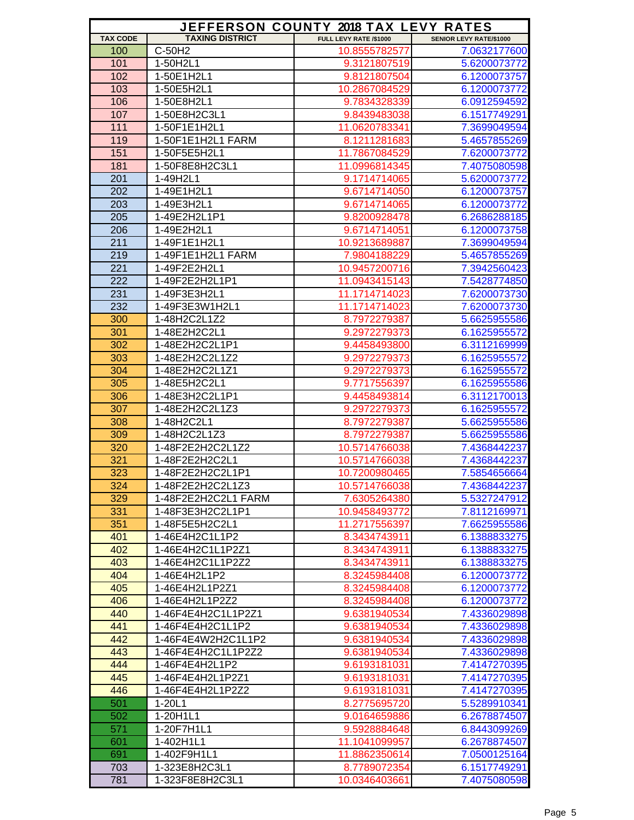|                 |                                         | JEFFERSON COUNTY 2018 TAX LEVY RATES |                              |
|-----------------|-----------------------------------------|--------------------------------------|------------------------------|
| <b>TAX CODE</b> | <b>TAXING DISTRICT</b>                  | FULL LEVY RATE /\$1000               | SENIOR LEVY RATE/\$1000      |
| 100             | C-50H <sub>2</sub>                      | 10.8555782577                        | 7.0632177600                 |
| 101             | 1-50H2L1                                | 9.3121807519                         | 5.6200073772                 |
| 102             | 1-50E1H2L1                              | 9.8121807504                         | 6.1200073757                 |
| 103             | 1-50E5H2L1                              | 10.2867084529                        | 6.1200073772                 |
| 106             | 1-50E8H2L1                              | 9.7834328339                         | 6.0912594592                 |
| 107             | 1-50E8H2C3L1                            | 9.8439483038                         | 6.1517749291                 |
| 111             | 1-50F1E1H2L1                            | 11.0620783341                        | 7.3699049594                 |
| 119             | 1-50F1E1H2L1 FARM                       | 8.1211281683                         | 5.4657855269                 |
| 151             | 1-50F5E5H2L1                            | 11.7867084529                        | 7.6200073772                 |
| 181             | 1-50F8E8H2C3L1                          | 11.0996814345                        | 7.4075080598                 |
| 201             | 1-49H2L1                                | 9.1714714065                         | 5.6200073772                 |
| 202             | 1-49E1H2L1                              | 9.6714714050                         | 6.1200073757                 |
| 203             | 1-49E3H2L1                              | 9.6714714065                         | 6.1200073772                 |
| 205             | 1-49E2H2L1P1                            | 9.8200928478                         | 6.2686288185                 |
| 206             | 1-49E2H2L1                              | 9.6714714051                         | 6.1200073758                 |
| 211             | 1-49F1E1H2L1                            | 10.9213689887                        | 7.3699049594                 |
| 219             | 1-49F1E1H2L1 FARM                       | 7.9804188229                         | 5.4657855269                 |
| 221             | 1-49F2E2H2L1                            | 10.9457200716                        | 7.3942560423                 |
| 222             | 1-49F2E2H2L1P1                          | 11.0943415143                        | 7.5428774850                 |
| 231             | 1-49F3E3H2L1                            | 11.1714714023                        | 7.6200073730                 |
| 232             | 1-49F3E3W1H2L1                          | 11.1714714023                        | 7.6200073730                 |
| 300             | 1-48H2C2L1Z2                            | 8.7972279387                         | 5.6625955586                 |
| 301             | 1-48E2H2C2L1                            | 9.2972279373                         | 6.1625955572                 |
| 302             | 1-48E2H2C2L1P1                          | 9.4458493800                         | 6.3112169999                 |
| 303             | 1-48E2H2C2L1Z2                          | 9.2972279373                         | 6.1625955572                 |
| 304             | 1-48E2H2C2L1Z1                          | 9.2972279373                         | 6.1625955572                 |
| 305             | 1-48E5H2C2L1                            | 9.7717556397                         | 6.1625955586                 |
| 306             | 1-48E3H2C2L1P1                          | 9.4458493814                         | 6.3112170013                 |
| 307             | 1-48E2H2C2L1Z3                          | 9.2972279373                         | 6.1625955572                 |
| 308             | 1-48H2C2L1                              | 8.7972279387                         | 5.6625955586                 |
| 309             | 1-48H2C2L1Z3                            | 8.7972279387                         | 5.6625955586                 |
| 320             | 1-48F2E2H2C2L1Z2                        | 10.5714766038                        | 7.4368442237                 |
| 321             | 1-48F2E2H2C2L1                          | 10.5714766038                        | 7.4368442237                 |
| 323             | 1-48F2E2H2C2L1P1                        | 10.7200980465                        | 7.5854656664                 |
| 324<br>329      | 1-48F2E2H2C2L1Z3<br>1-48F2E2H2C2L1 FARM | 10.5714766038                        | 7.4368442237<br>5.5327247912 |
| 331             | 1-48F3E3H2C2L1P1                        | 7.6305264380<br>10.9458493772        | 7.8112169971                 |
| 351             | 1-48F5E5H2C2L1                          | 11.2717556397                        | 7.6625955586                 |
| 401             | 1-46E4H2C1L1P2                          | 8.3434743911                         |                              |
| 402             | 1-46E4H2C1L1P2Z1                        | 8.3434743911                         | 6.1388833275<br>6.1388833275 |
| 403             | 1-46E4H2C1L1P2Z2                        | 8.3434743911                         | 6.1388833275                 |
| 404             | 1-46E4H2L1P2                            |                                      |                              |
| 405             | 1-46E4H2L1P2Z1                          | 8.3245984408                         | 6.1200073772                 |
| 406             | 1-46E4H2L1P2Z2                          | 8.3245984408                         | 6.1200073772                 |
|                 |                                         | 8.3245984408                         | 6.1200073772                 |
| 440<br>441      | 1-46F4E4H2C1L1P2Z1                      | 9.6381940534                         | 7.4336029898                 |
|                 | 1-46F4E4H2C1L1P2                        | 9.6381940534                         | 7.4336029898                 |
| 442             | 1-46F4E4W2H2C1L1P2                      | 9.6381940534                         | 7.4336029898                 |
| 443             | 1-46F4E4H2C1L1P2Z2                      | 9.6381940534                         | 7.4336029898                 |
| 444             | 1-46F4E4H2L1P2                          | 9.6193181031                         | 7.4147270395                 |
| 445             | 1-46F4E4H2L1P2Z1                        | 9.6193181031                         | 7.4147270395                 |
| 446             | 1-46F4E4H2L1P2Z2                        | 9.6193181031                         | 7.4147270395                 |
| 501             | $1 - 20L1$                              | 8.2775695720                         | 5.5289910341                 |
| 502             | 1-20H1L1                                | 9.0164659886                         | 6.2678874507                 |
| 571             | 1-20F7H1L1                              | 9.5928884648                         | 6.8443099269                 |
| 601             | 1-402H1L1                               | 11.1041099957                        | 6.2678874507                 |
| 691             | 1-402F9H1L1                             | 11.8862350614                        | 7.0500125164                 |
| 703             | 1-323E8H2C3L1                           | 8.7789072354                         | 6.1517749291                 |
| 781             | 1-323F8E8H2C3L1                         | 10.0346403661                        | 7.4075080598                 |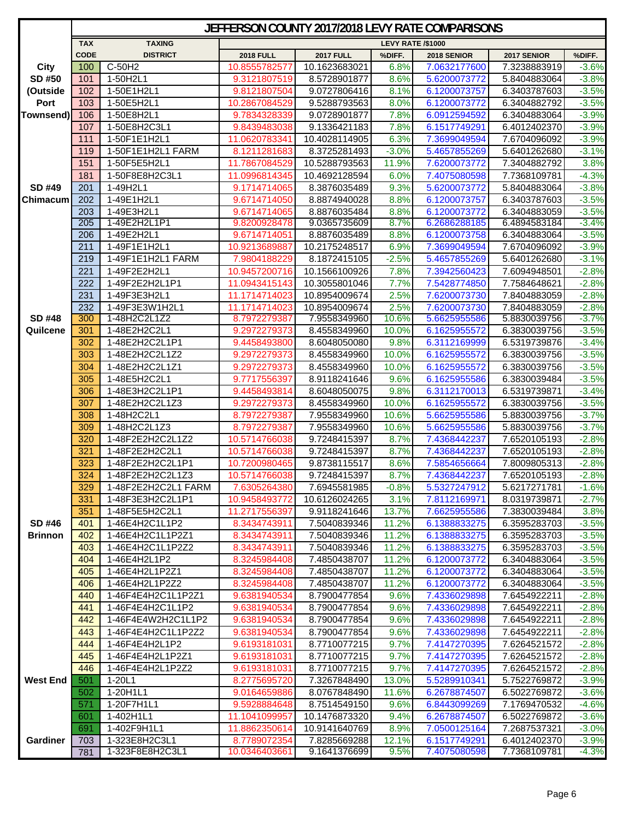|                    |             |                              | JEFFERSON COUNTY 2017/2018 LEVY RATE COMPARISONS |                              |                |                              |                              |                    |
|--------------------|-------------|------------------------------|--------------------------------------------------|------------------------------|----------------|------------------------------|------------------------------|--------------------|
|                    | <b>TAX</b>  | <b>TAXING</b>                |                                                  |                              |                | <b>LEVY RATE /\$1000</b>     |                              |                    |
|                    | <b>CODE</b> | <b>DISTRICT</b>              | <b>2018 FULL</b>                                 | <b>2017 FULL</b>             | %DIFF.         | <b>2018 SENIOR</b>           | 2017 SENIOR                  | %DIFF.             |
| <b>City</b>        | 100         | C-50H2                       | 10.8555782577                                    | 10.1623683021                | 6.8%           | 7.0632177600                 | 7.3238883919                 | $-3.6%$            |
| SD #50             | 101         | 1-50H2L1                     | 9.3121807519                                     | 8.5728901877                 | 8.6%           | 5.6200073772                 | 5.8404883064                 | $-3.8%$            |
| (Outside           | 102         | 1-50E1H2L1                   | 9.8121807504                                     | 9.0727806416                 | 8.1%           | 6.1200073757                 | 6.3403787603                 | $-3.5%$            |
| Port               | 103         | 1-50E5H2L1                   | 10.2867084529                                    | 9.5288793563                 | 8.0%           | 6.1200073772                 | 6.3404882792                 | $-3.5%$            |
| Townsend)          | 106         | 1-50E8H2L1                   | 9.7834328339                                     | 9.0728901877                 | 7.8%           | 6.0912594592                 | 6.3404883064                 | $-3.9%$            |
|                    | 107         | 1-50E8H2C3L1                 | 9.8439483038                                     | 9.1336421183                 | 7.8%           | 6.1517749291                 | 6.4012402370                 | $-3.9%$            |
|                    | 111         | 1-50F1E1H2L1                 | 11.0620783341                                    | 10.4028114905                | 6.3%           | 7.3699049594                 | 7.6704096092                 | $-3.9%$            |
|                    | 119         | 1-50F1E1H2L1 FARM            | 8.1211281683                                     | 8.3725281493                 | $-3.0%$        | 5.4657855269                 | 5.6401262680                 | $-3.1%$            |
|                    | 151         | 1-50F5E5H2L1                 | 11.7867084529                                    | 10.5288793563                | 11.9%          | 7.6200073772                 | 7.3404882792                 | 3.8%               |
|                    | 181         | 1-50F8E8H2C3L1               | 11.0996814345                                    | 10.4692128594                | 6.0%           | 7.4075080598                 | 7.7368109781                 | $-4.3%$            |
| SD #49             | 201         | 1-49H2L1                     | 9.1714714065                                     | 8.3876035489                 | 9.3%           | 5.6200073772                 | 5.8404883064                 | $-3.8%$            |
| Chimacum           | 202         | 1-49E1H2L1                   | 9.6714714050                                     | 8.8874940028                 | 8.8%           | 6.1200073757                 | 6.3403787603                 | $-3.5%$            |
|                    | 203         | 1-49E3H2L1                   | 9.6714714065                                     | 8.8876035484                 | 8.8%           | 6.1200073772                 | 6.3404883059                 | $-3.5%$            |
|                    | 205         | 1-49E2H2L1P1                 | 9.8200928478                                     | 9.0365735609                 | 8.7%           | 6.2686288185                 | 6.4894583184                 | $-3.4%$            |
|                    | 206         | 1-49E2H2L1                   | 9.6714714051                                     | 8.8876035489                 | 8.8%           | 6.1200073758                 | 6.3404883064                 | $-3.5%$            |
|                    | 211         | 1-49F1E1H2L1                 | 10.9213689887                                    | 10.2175248517                | 6.9%           | 7.3699049594                 | 7.6704096092                 | $-3.9%$            |
|                    | 219         | 1-49F1E1H2L1 FARM            | 7.9804188229                                     | 8.1872415105                 | $-2.5%$        | 5.4657855269                 | 5.6401262680                 | $-3.1%$            |
|                    | 221         | 1-49F2E2H2L1                 | 10.9457200716                                    | 10.1566100926                | 7.8%           | 7.3942560423                 | 7.6094948501                 | $-2.8%$            |
|                    | 222         | 1-49F2E2H2L1P1               | 11.0943415143                                    | 10.3055801046                | 7.7%           | 7.5428774850                 | 7.7584648621                 | $-2.8%$            |
|                    | 231         | 1-49F3E3H2L1                 | 11.1714714023                                    | 10.8954009674                | 2.5%           | 7.6200073730                 | 7.8404883059                 | $-2.8%$            |
|                    | 232         | 1-49F3E3W1H2L1               | 11.1714714023                                    | 10.8954009674                | 2.5%           | 7.6200073730                 | 7.8404883059                 | $-2.8%$            |
| SD #48<br>Quilcene | 300<br>301  | 1-48H2C2L1Z2<br>1-48E2H2C2L1 | 8.7972279387                                     | 7.9558349960                 | 10.6%<br>10.0% | 5.6625955586<br>6.1625955572 | 5.8830039756                 | $-3.7%$<br>$-3.5%$ |
|                    | 302         | 1-48E2H2C2L1P1               | 9.2972279373<br>9.4458493800                     | 8.4558349960<br>8.6048050080 | 9.8%           | 6.3112169999                 | 6.3830039756<br>6.5319739876 | $-3.4%$            |
|                    | 303         | 1-48E2H2C2L1Z2               | 9.2972279373                                     | 8.4558349960                 | 10.0%          | 6.1625955572                 | 6.3830039756                 | $-3.5%$            |
|                    | 304         | 1-48E2H2C2L1Z1               | 9.2972279373                                     | 8.4558349960                 | 10.0%          | 6.1625955572                 | 6.3830039756                 | $-3.5%$            |
|                    | 305         | 1-48E5H2C2L1                 | 9.7717556397                                     | 8.9118241646                 | 9.6%           | 6.1625955586                 | 6.3830039484                 | $-3.5%$            |
|                    | 306         | 1-48E3H2C2L1P1               | 9.4458493814                                     | 8.6048050075                 | 9.8%           | 6.3112170013                 | 6.5319739871                 | $-3.4%$            |
|                    | 307         | 1-48E2H2C2L1Z3               | 9.2972279373                                     | 8.4558349960                 | 10.0%          | 6.1625955572                 | 6.3830039756                 | $-3.5%$            |
|                    | 308         | 1-48H2C2L1                   | 8.7972279387                                     | 7.9558349960                 | 10.6%          | 5.6625955586                 | 5.8830039756                 | $-3.7%$            |
|                    | 309         | 1-48H2C2L1Z3                 | 8.7972279387                                     | 7.9558349960                 | 10.6%          | 5.6625955586                 | 5.8830039756                 | $-3.7%$            |
|                    | 320         | 1-48F2E2H2C2L1Z2             | 10.5714766038                                    | 9.7248415397                 | 8.7%           | 7.4368442237                 | 7.6520105193                 | $-2.8%$            |
|                    | 321         | 1-48F2E2H2C2L1               | 10.5714766038                                    | 9.7248415397                 | 8.7%           | 7.4368442237                 | 7.6520105193                 | $-2.8%$            |
|                    | 323         | 1-48F2E2H2C2L1P1             | 10.7200980465                                    | 9.8738115517                 | 8.6%           | 7.5854656664                 | 7.8009805313                 | $-2.8%$            |
|                    | 324         | 1-48F2E2H2C2L1Z3             | 10.5714766038                                    | 9.7248415397                 | 8.7%           | 7.4368442237                 | 7.6520105193                 | $-2.8%$            |
|                    | 329         | 1-48F2E2H2C2L1 FARM          | 7.6305264380                                     | 7.6945581985                 | $-0.8%$        | 5.5327247912                 | 5.6217271781                 | $-1.6%$            |
|                    | 331         | 1-48F3E3H2C2L1P1             | 10.9458493772                                    | 10.6126024265                | 3.1%           | 7.8112169971                 | 8.0319739871                 | $-2.7%$            |
|                    | 351         | 1-48F5E5H2C2L1               | 11.2717556397                                    | 9.9118241646                 | 13.7%          | 7.6625955586                 | 7.3830039484                 | 3.8%               |
| SD #46             | 401         | 1-46E4H2C1L1P2               | 8.3434743911                                     | 7.5040839346                 | 11.2%          | 6.1388833275                 | 6.3595283703                 | $-3.5%$            |
| <b>Brinnon</b>     | 402         | 1-46E4H2C1L1P2Z1             | 8.3434743911                                     | 7.5040839346                 | 11.2%          | 6.1388833275                 | 6.3595283703                 | $-3.5%$            |
|                    | 403         | 1-46E4H2C1L1P2Z2             | 8.3434743911                                     | 7.5040839346                 | 11.2%          | 6.1388833275                 | 6.3595283703                 | $-3.5%$            |
|                    | 404         | 1-46E4H2L1P2                 | 8.3245984408                                     | 7.4850438707                 | 11.2%          | 6.1200073772                 | 6.3404883064                 | $-3.5%$            |
|                    | 405         | 1-46E4H2L1P2Z1               | 8.3245984408                                     | 7.4850438707                 | 11.2%          | 6.1200073772                 | 6.3404883064                 | $-3.5%$            |
|                    | 406         | 1-46E4H2L1P2Z2               | 8.3245984408                                     | 7.4850438707                 | 11.2%          | 6.1200073772                 | 6.3404883064                 | $-3.5%$            |
|                    | 440         | 1-46F4E4H2C1L1P2Z1           | 9.6381940534                                     | 8.7900477854                 | 9.6%           | 7.4336029898                 | 7.6454922211                 | $-2.8%$            |
|                    | 441         | 1-46F4E4H2C1L1P2             | 9.6381940534                                     | 8.7900477854                 | 9.6%           | 7.4336029898                 | 7.6454922211                 | $-2.8%$            |
|                    | 442         | 1-46F4E4W2H2C1L1P2           | 9.6381940534                                     | 8.7900477854                 | 9.6%           | 7.4336029898                 | 7.6454922211                 | $-2.8%$            |
|                    | 443         | 1-46F4E4H2C1L1P2Z2           | 9.6381940534                                     | 8.7900477854                 | 9.6%           | 7.4336029898                 | 7.6454922211                 | $-2.8%$            |
|                    | 444         | 1-46F4E4H2L1P2               | 9.6193181031                                     | 8.7710077215                 | 9.7%           | 7.4147270395                 | 7.6264521572                 | $-2.8%$            |
|                    | 445         | 1-46F4E4H2L1P2Z1             | 9.6193181031                                     | 8.7710077215                 | 9.7%           | 7.4147270395                 | 7.6264521572                 | $-2.8%$            |
|                    | 446         | 1-46F4E4H2L1P2Z2             | 9.6193181031                                     | 8.7710077215                 | 9.7%           | 7.4147270395                 | 7.6264521572                 | $-2.8%$            |
| <b>West End</b>    | 501         | 1-20L1                       | 8.2775695720                                     | 7.3267848490                 | 13.0%          | 5.5289910341                 | 5.7522769872                 | $-3.9%$            |
|                    | 502         | 1-20H1L1                     | 9.0164659886                                     | 8.0767848490                 | 11.6%          | 6.2678874507                 | 6.5022769872                 | $-3.6%$            |
|                    | 571         | 1-20F7H1L1                   | 9.5928884648                                     | 8.7514549150                 | 9.6%           | 6.8443099269                 | 7.1769470532                 | $-4.6%$            |
|                    | 601         | 1-402H1L1                    | 11.1041099957                                    | 10.1476873320                | 9.4%           | 6.2678874507                 | 6.5022769872                 | $-3.6%$            |
|                    | 691         | 1-402F9H1L1                  | 11.8862350614                                    | 10.9141640769                | 8.9%           | 7.0500125164                 | 7.2687537321                 | $-3.0%$            |
| <b>Gardiner</b>    | 703         | 1-323E8H2C3L1                | 8.7789072354                                     | 7.8285669288                 | 12.1%          | 6.1517749291                 | 6.4012402370                 | $-3.9%$            |
|                    | 781         | 1-323F8E8H2C3L1              | 10.0346403661                                    | 9.1641376699                 | 9.5%           | 7.4075080598                 | 7.7368109781                 | $-4.3%$            |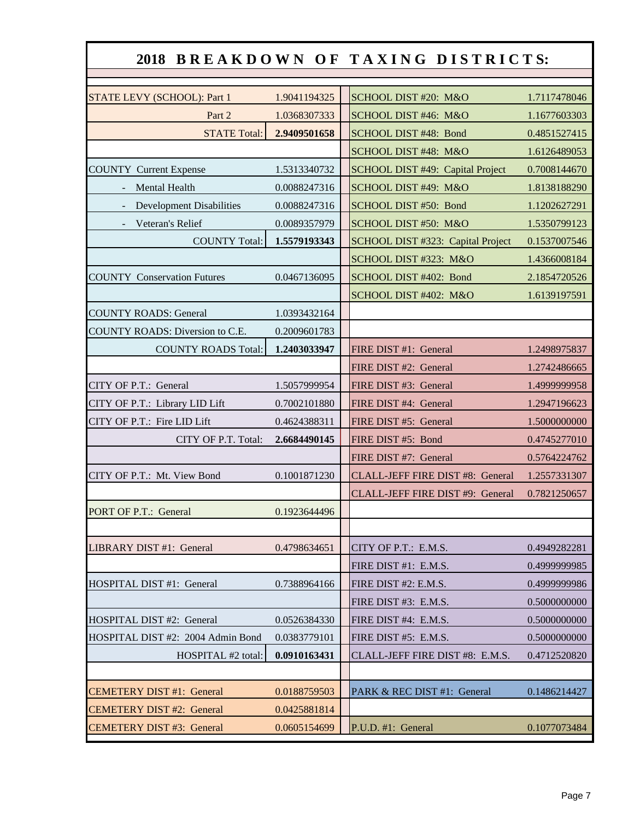|                                    |              | 2018 BREAKDOWN OF TAXING DISTRICTS: |              |
|------------------------------------|--------------|-------------------------------------|--------------|
|                                    |              |                                     |              |
| STATE LEVY (SCHOOL): Part 1        | 1.9041194325 | SCHOOL DIST #20: M&O                | 1.7117478046 |
| Part 2                             | 1.0368307333 | SCHOOL DIST #46: M&O                | 1.1677603303 |
| <b>STATE Total:</b>                | 2.9409501658 | SCHOOL DIST #48: Bond               | 0.4851527415 |
|                                    |              | SCHOOL DIST #48: M&O                | 1.6126489053 |
| <b>COUNTY Current Expense</b>      | 1.5313340732 | SCHOOL DIST #49: Capital Project    | 0.7008144670 |
| Mental Health                      | 0.0088247316 | SCHOOL DIST #49: M&O                | 1.8138188290 |
| <b>Development Disabilities</b>    | 0.0088247316 | SCHOOL DIST #50: Bond               | 1.1202627291 |
| Veteran's Relief                   | 0.0089357979 | SCHOOL DIST #50: M&O                | 1.5350799123 |
| <b>COUNTY Total:</b>               | 1.5579193343 | SCHOOL DIST #323: Capital Project   | 0.1537007546 |
|                                    |              | SCHOOL DIST #323: M&O               | 1.4366008184 |
| <b>COUNTY Conservation Futures</b> | 0.0467136095 | SCHOOL DIST #402: Bond              | 2.1854720526 |
|                                    |              | SCHOOL DIST #402: M&O               | 1.6139197591 |
| <b>COUNTY ROADS: General</b>       | 1.0393432164 |                                     |              |
| COUNTY ROADS: Diversion to C.E.    | 0.2009601783 |                                     |              |
| <b>COUNTY ROADS Total:</b>         | 1.2403033947 | FIRE DIST #1: General               | 1.2498975837 |
|                                    |              | FIRE DIST #2: General               | 1.2742486665 |
| CITY OF P.T.: General              | 1.5057999954 | FIRE DIST #3: General               | 1.4999999958 |
| CITY OF P.T.: Library LID Lift     | 0.7002101880 | FIRE DIST #4: General               | 1.2947196623 |
| CITY OF P.T.: Fire LID Lift        | 0.4624388311 | FIRE DIST #5: General               | 1.5000000000 |
| CITY OF P.T. Total:                | 2.6684490145 | FIRE DIST #5: Bond                  | 0.4745277010 |
|                                    |              | FIRE DIST #7: General               | 0.5764224762 |
| CITY OF P.T.: Mt. View Bond        | 0.1001871230 | CLALL-JEFF FIRE DIST #8: General    | 1.2557331307 |
|                                    |              | CLALL-JEFF FIRE DIST #9: General    | 0.7821250657 |
| PORT OF P.T.: General              | 0.1923644496 |                                     |              |
|                                    |              |                                     |              |
| LIBRARY DIST #1: General           | 0.4798634651 | CITY OF P.T.: E.M.S.                | 0.4949282281 |
|                                    |              | FIRE DIST #1: E.M.S.                | 0.4999999985 |
| HOSPITAL DIST #1: General          | 0.7388964166 | FIRE DIST #2: E.M.S.                | 0.4999999986 |
|                                    |              | FIRE DIST #3: E.M.S.                | 0.5000000000 |
| HOSPITAL DIST #2: General          | 0.0526384330 | FIRE DIST #4: E.M.S.                | 0.5000000000 |
| HOSPITAL DIST #2: 2004 Admin Bond  | 0.0383779101 | FIRE DIST #5: E.M.S.                | 0.5000000000 |
| HOSPITAL #2 total:                 | 0.0910163431 | CLALL-JEFF FIRE DIST #8: E.M.S.     | 0.4712520820 |
|                                    |              |                                     |              |
| <b>CEMETERY DIST #1: General</b>   | 0.0188759503 | PARK & REC DIST #1: General         | 0.1486214427 |
| <b>CEMETERY DIST #2: General</b>   | 0.0425881814 |                                     |              |
| <b>CEMETERY DIST #3: General</b>   | 0.0605154699 | P.U.D. #1: General                  | 0.1077073484 |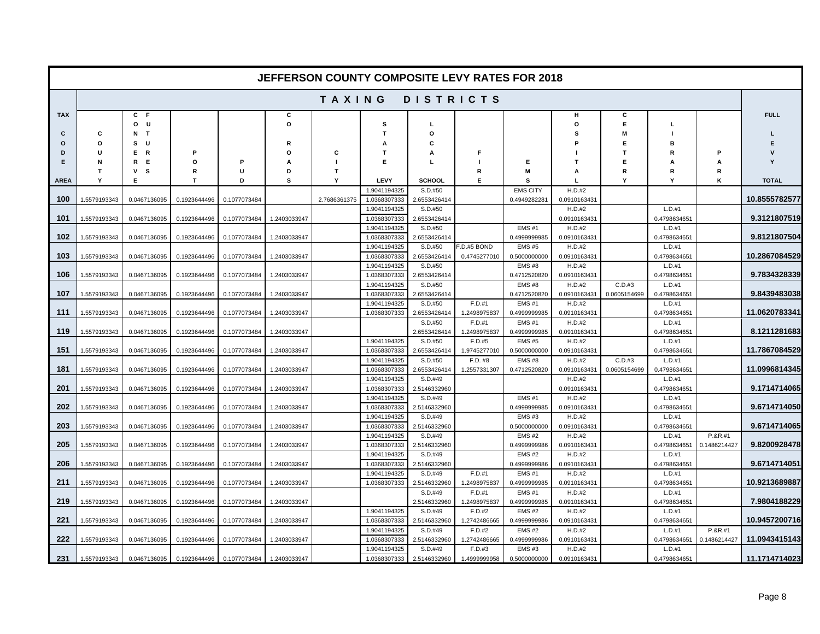| <b>JEFFERSON COUNTY COMPOSITE LEVY RATES FOR 2018</b> |              |                      |              |                             |              |              |                              |                         |                        |                              |                        |                  |                          |              |                   |
|-------------------------------------------------------|--------------|----------------------|--------------|-----------------------------|--------------|--------------|------------------------------|-------------------------|------------------------|------------------------------|------------------------|------------------|--------------------------|--------------|-------------------|
|                                                       |              |                      |              |                             |              | TAXING       |                              |                         | <b>DISTRICTS</b>       |                              |                        |                  |                          |              |                   |
| <b>TAX</b>                                            |              | C F                  |              |                             | С            |              |                              |                         |                        |                              | н                      | c                |                          |              | <b>FULL</b>       |
|                                                       |              | 0 <sub>U</sub>       |              |                             | $\circ$      |              | s                            | L                       |                        |                              | $\circ$                | E                | L                        |              |                   |
| C<br>$\Omega$                                         | c            | N T                  |              |                             |              |              | $\mathbf{r}$                 | o                       |                        |                              | s                      | M                | в                        |              | L                 |
| D                                                     | $\circ$<br>U | <b>U</b><br>s<br>E R | P            |                             | R<br>о       | С            | A<br>т                       | C<br>А                  | F                      |                              |                        | Е<br>$\mathbf T$ | R                        | P            | Е<br>$\mathbf{v}$ |
| E                                                     | N            | R E                  | $\circ$      | P                           | A            |              | Е                            | L                       |                        | Е                            |                        | E                | А                        | A            | Y                 |
|                                                       | $\mathbf{T}$ | V S                  | R            | U                           | D            | T            |                              |                         | R                      | M                            | Α                      | R                | R                        | R            |                   |
| <b>AREA</b>                                           | Y            | E.                   | Т            | D                           | s            | Y            | LEVY                         | <b>SCHOOL</b>           | Е                      | s                            |                        | Y                |                          | ĸ            | <b>TOTAL</b>      |
|                                                       |              |                      |              |                             |              |              | 1.9041194325                 | S.D.#50                 |                        | <b>EMS CITY</b>              | H.D.#2                 |                  |                          |              |                   |
| 100                                                   | 1.5579193343 | 0.0467136095         | 0.1923644496 | 0.1077073484                |              | 2.7686361375 | 1.0368307333                 | 2.6553426414            |                        | 0.4949282281                 | 0.0910163431           |                  |                          |              | 10.8555782577     |
|                                                       |              |                      |              |                             |              |              | 1.9041194325                 | S.D.#50                 |                        |                              | H.D.#2                 |                  | $L.D.+1$                 |              |                   |
| 101                                                   | 1.5579193343 | 0.0467136095         | 0.1923644496 | 0.1077073484                | 1.2403033947 |              | 1.0368307333                 | 2.6553426414            |                        |                              | 0.0910163431           |                  | 0.4798634651             |              | 9.3121807519      |
|                                                       |              |                      |              |                             |              |              | 1.9041194325                 | S.D.#50                 |                        | <b>EMS#1</b>                 | H.D.#2                 |                  | L.D.#1                   |              |                   |
| 102                                                   | 1.5579193343 | 0.0467136095         |              | 0.1923644496   0.1077073484 | 1.2403033947 |              | 1.0368307333                 | 2.6553426414            |                        | 0.4999999985                 | 0.0910163431           |                  | 0.4798634651             |              | 9.8121807504      |
|                                                       |              |                      |              |                             |              |              | 1.9041194325                 | S.D.#50                 | F.D.#5 BOND            | <b>EMS #5</b>                | H.D.#2                 |                  | L.D.#1                   |              |                   |
| 103                                                   | 1.5579193343 | 0.0467136095         | 0.1923644496 | 0.1077073484                | 1.2403033947 |              | 1.0368307333                 | 2.6553426414            | 0.4745277010           | 0.5000000000                 | 0.0910163431           |                  | 0.4798634651             |              | 10.2867084529     |
| 106                                                   | 1.5579193343 | 0.0467136095         | 0.1923644496 |                             | 1.2403033947 |              | 1.9041194325<br>1.0368307333 | S.D.#50<br>2.6553426414 |                        | <b>EMS#8</b><br>0.4712520820 | H.D.#2                 |                  | L.D.#1<br>0.4798634651   |              | 9.7834328339      |
|                                                       |              |                      |              | 0.1077073484                |              |              | 1.9041194325                 | S.D.#50                 |                        | EMS#8                        | 0.0910163431<br>H.D.#2 | C.D.#3           | $L.D.+1$                 |              |                   |
| 107                                                   | 1.5579193343 | 0.0467136095         | 0.1923644496 | 0.1077073484                | 1.2403033947 |              | 1.0368307333                 | 2.6553426414            |                        | 0.4712520820                 | 0.0910163431           | 0.0605154699     | 0.4798634651             |              | 9.8439483038      |
|                                                       |              |                      |              |                             |              |              | 1.9041194325                 | S.D.#50                 | F.D.#1                 | <b>EMS#1</b>                 | H.D.#2                 |                  | L.D.#1                   |              |                   |
| 111                                                   | 1.5579193343 | 0.0467136095         | 0.1923644496 | 0.1077073484                | 1.2403033947 |              | 1.0368307333                 | 2.6553426414            | 1.2498975837           | 0.4999999985                 | 0.0910163431           |                  | 0.4798634651             |              | 11.0620783341     |
|                                                       |              |                      |              |                             |              |              |                              | S.D.#50                 | $F.D.+1$               | <b>EMS#1</b>                 | H.D.#2                 |                  | $L.D.+1$                 |              |                   |
| 119                                                   | 1.5579193343 | 0.0467136095         | 0.1923644496 | 0.1077073484                | 1.2403033947 |              |                              | 2.6553426414            | 1.2498975837           | 0.4999999985                 | 0.0910163431           |                  | 0.4798634651             |              | 8.1211281683      |
|                                                       |              |                      |              |                             |              |              | 1.9041194325                 | S.D.#50                 | F.D.#5                 | <b>EMS #5</b>                | H.D.#2                 |                  | L.D.#1                   |              |                   |
| 151                                                   | 1.5579193343 | 0.0467136095         | 0.1923644496 | 0.1077073484                | 1.2403033947 |              | 1.0368307333                 | 2.6553426414            | 1.9745277010           | 0.5000000000                 | 0.0910163431           |                  | 0.4798634651             |              | 11.7867084529     |
|                                                       |              |                      |              |                             |              |              | 1.9041194325                 | S.D.#50                 | F.D. #8                | EMS <sub>#8</sub>            | H.D.#2                 | C.D.#3           | $L.D.+1$                 |              |                   |
| 181                                                   | 1.5579193343 | 0.0467136095         | 0.1923644496 | 0.1077073484                | 1.2403033947 |              | 1.0368307333                 | 2.6553426414            | 1.2557331307           | 0.4712520820                 | 0.0910163431           | 0.0605154699     | 0.4798634651             |              | 11.0996814345     |
|                                                       |              |                      |              |                             |              |              | 1.9041194325                 | S.D.#49                 |                        |                              | H.D.#2                 |                  | L.D.#1                   |              |                   |
| 201                                                   | 1.5579193343 | 0.0467136095         | 0.1923644496 | 0.1077073484                | 1.2403033947 |              | 1.0368307333<br>1.9041194325 | 2.5146332960<br>S.D.#49 |                        | <b>EMS#1</b>                 | 0.0910163431<br>H.D.#2 |                  | 0.4798634651<br>$L.D.+1$ |              | 9.1714714065      |
| 202                                                   | 1.5579193343 | 0.0467136095         | 0.1923644496 | 0.1077073484                | 1.2403033947 |              | 1.0368307333                 | 2.5146332960            |                        | 0.4999999985                 | 0.0910163431           |                  | 0.4798634651             |              | 9.6714714050      |
|                                                       |              |                      |              |                             |              |              | 1.9041194325                 | S.D.#49                 |                        | EMS#3                        | H.D.#2                 |                  | $L.D.+1$                 |              |                   |
| 203                                                   | 1.5579193343 | 0.0467136095         | 0.1923644496 | 0.1077073484                | 1.2403033947 |              | 1.0368307333                 | 2.5146332960            |                        | 0.5000000000                 | 0.0910163431           |                  | 0.4798634651             |              | 9.6714714065      |
|                                                       |              |                      |              |                             |              |              | 1.9041194325                 | S.D.#49                 |                        | <b>EMS#2</b>                 | H.D.#2                 |                  | L.D.#1                   | P.&R.#1      |                   |
| 205                                                   | 1.5579193343 | 0.0467136095         | 0.1923644496 | 0.1077073484                | 1.2403033947 |              | 1.0368307333                 | 2.5146332960            |                        | 0.4999999986                 | 0.0910163431           |                  | 0.4798634651             | 0.1486214427 | 9.8200928478      |
|                                                       |              |                      |              |                             |              |              | 1.9041194325                 | S.D.#49                 |                        | <b>EMS#2</b>                 | H.D.#2                 |                  | $L.D.+1$                 |              |                   |
| 206                                                   | 1.5579193343 | 0.0467136095         | 0.1923644496 | 0.1077073484                | 1.2403033947 |              | 1.0368307333                 | 2.5146332960            |                        | 0.4999999986                 | 0.0910163431           |                  | 0.4798634651             |              | 9.6714714051      |
|                                                       |              |                      |              |                             |              |              | 1.9041194325                 | S.D.#49                 | F.D.#1                 | <b>EMS#1</b>                 | H.D.#2                 |                  | L.D.#1                   |              |                   |
| 211                                                   | 1.5579193343 | 0.0467136095         | 0.1923644496 | 0.1077073484                | 1.2403033947 |              | 1.0368307333                 | 2.5146332960            | 1.2498975837           | 0.4999999985                 | 0.0910163431           |                  | 0.4798634651             |              | 10.9213689887     |
|                                                       |              |                      |              |                             |              |              |                              | S.D.#49                 | F.D.#1                 | EMS#1                        | H.D.#2                 |                  | L.D.#1                   |              |                   |
| 219                                                   | 1.5579193343 | 0.0467136095         | 0.1923644496 | 0.1077073484                | 1.2403033947 |              |                              | 2.5146332960            | 1.2498975837           | 0.4999999985                 | 0.0910163431           |                  | 0.4798634651             |              | 7.9804188229      |
| 221                                                   |              |                      |              |                             |              |              | 1.9041194325                 | S.D.#49                 | F.D.#2                 | EMS#2                        | H.D.#2                 |                  | $L.D.+1$                 |              | 10.9457200716     |
|                                                       | 1.5579193343 | 0.0467136095         | 0.1923644496 | 0.1077073484                | 1.2403033947 |              | 1.0368307333<br>1.9041194325 | 2.5146332960<br>S.D.#49 | 1.2742486665<br>F.D.#2 | 0.4999999986<br>EMS#2        | 0.0910163431<br>H.D.#2 |                  | 0.4798634651<br>$L.D.+1$ | P.&R.#1      |                   |
| 222                                                   | 1.5579193343 | 0.0467136095         | 0.1923644496 | 0.1077073484                | 1.2403033947 |              | 1.0368307333                 | 2.5146332960            | 1.2742486665           | 0.4999999986                 | 0.0910163431           |                  | 0.4798634651             | 0.1486214427 | 11.0943415143     |
|                                                       |              |                      |              |                             |              |              | 1.9041194325                 | S.D.#49                 | F.D.#3                 | EMS#3                        | H.D.#2                 |                  | L.D.#1                   |              |                   |
| 231                                                   | 1.5579193343 | 0.0467136095         |              | 0.1923644496   0.1077073484 | 1.2403033947 |              | 1.0368307333                 | 2.5146332960            | 1.4999999958           | 0.5000000000                 | 0.0910163431           |                  | 0.4798634651             |              | 11.1714714023     |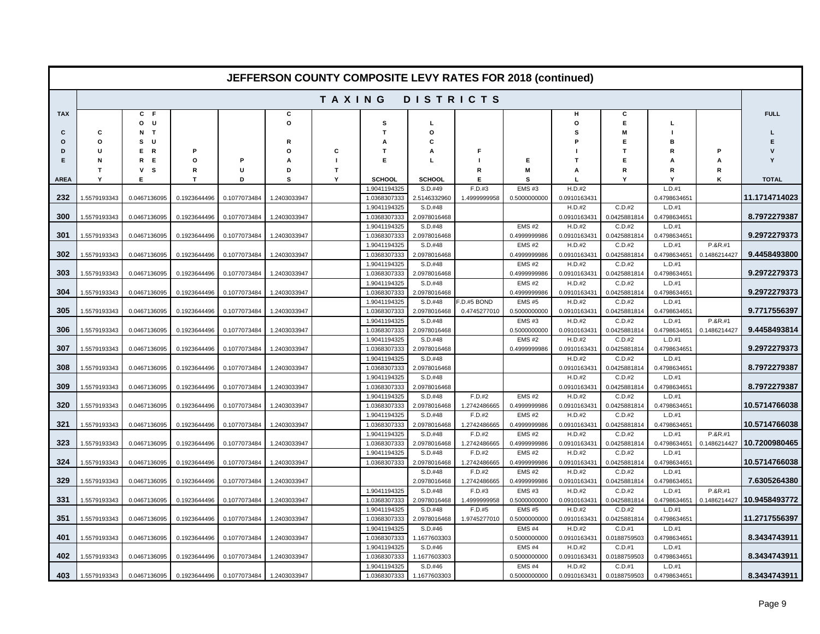| JEFFERSON COUNTY COMPOSITE LEVY RATES FOR 2018 (continued) |              |                   |              |                             |              |              |                              |                         |              |                       |                        |                        |                          |              |               |
|------------------------------------------------------------|--------------|-------------------|--------------|-----------------------------|--------------|--------------|------------------------------|-------------------------|--------------|-----------------------|------------------------|------------------------|--------------------------|--------------|---------------|
|                                                            |              |                   |              |                             |              | TAXING       |                              | <b>DISTRICTS</b>        |              |                       |                        |                        |                          |              |               |
| <b>TAX</b>                                                 |              | C<br>-F           |              |                             | С            |              |                              |                         |              |                       | н                      | C                      |                          |              | <b>FULL</b>   |
|                                                            |              | U<br>O            |              |                             | $\Omega$     |              | s                            | L                       |              |                       | $\circ$                | Е                      |                          |              |               |
| C                                                          | c            | N<br>$\mathbf{T}$ |              |                             |              |              | T                            | $\circ$                 |              |                       | s                      | M                      |                          |              |               |
| $\circ$                                                    | $\Omega$     | U<br>s            |              |                             | R            |              | A                            | C                       |              |                       |                        | Е                      | в                        |              |               |
| D                                                          | u            | $\mathbf R$<br>Е. | Р            |                             | O            | c            | т                            | А                       | Е            |                       |                        | Т                      | R                        | P            |               |
| Е                                                          | N            | Е<br>R            | $\Omega$     | P                           | A            |              | Е                            | L                       |              | E                     |                        | E                      | A                        | A            |               |
|                                                            | $\mathsf{T}$ | v<br>s            | R            | U                           | D            | $\mathbf{T}$ |                              |                         | R            | M<br>S                | А                      | R<br>Y                 | R<br>Υ                   | R            |               |
| <b>AREA</b>                                                | Y            | Е                 | т            | D                           | s            | Y            | SCHOOL<br>1.9041194325       | SCHOOL<br>S.D.#49       | Е<br>F.D.#3  | <b>EMS#3</b>          | H.D.#2                 |                        | L.D.#1                   | κ            | <b>TOTAL</b>  |
| 232                                                        | 1.5579193343 | 0.0467136095      | 0.1923644496 | 0.1077073484                | 1.2403033947 |              | 1.0368307333                 | 2.5146332960            | 1.4999999958 | 0.5000000000          | 0.0910163431           |                        | 0.4798634651             |              | 11.1714714023 |
|                                                            |              |                   |              |                             |              |              | 1.9041194325                 | S.D.#48                 |              |                       | H.D.#2                 | C.D.#2                 | L.D.#1                   |              |               |
| 300                                                        | 1.5579193343 | 0.0467136095      | 0.1923644496 | 0.1077073484                | 1.2403033947 |              | 1.0368307333                 | 2.0978016468            |              |                       | 0.0910163431           | 0.0425881814           | 0.4798634651             |              | 8.7972279387  |
|                                                            |              |                   |              |                             |              |              | 1.9041194325                 | S.D.#48                 |              | <b>EMS#2</b>          | H.D.#2                 | C.D.#2                 | L.D.#1                   |              |               |
| 301                                                        | 1.5579193343 | 0.0467136095      | 0.1923644496 | 0.1077073484                | 1.2403033947 |              | 1.0368307333                 | 2.0978016468            |              | 0.4999999986          | 0.0910163431           | 0.0425881814           | 0.4798634651             |              | 9.2972279373  |
|                                                            |              |                   |              |                             |              |              | 1.9041194325                 | S.D.#48                 |              | EMS#2                 | H.D.#2                 | C.D.#2                 | L.D.#1                   | P.&R.#1      |               |
| 302                                                        | 1.5579193343 | 0.0467136095      | 0.1923644496 | 0.1077073484                | 1.2403033947 |              | 1.0368307333                 | 2.0978016468            |              | 0.4999999986          | 0.0910163431           | 0.0425881814           | 0.4798634651             | 0.1486214427 | 9.4458493800  |
|                                                            |              |                   |              |                             |              |              | 1.9041194325                 | S.D.#48                 |              | <b>EMS#2</b>          | H.D.#2                 | C.D.#2                 | L.D.#1                   |              |               |
| 303                                                        | 1.5579193343 | 0.0467136095      | 0.1923644496 | 0.1077073484                | 1.2403033947 |              | 1.0368307333                 | 2.0978016468            |              | 0.4999999986          | 0.0910163431           | 0.0425881814           | 0.4798634651             |              | 9.2972279373  |
|                                                            |              |                   |              |                             |              |              | 1.9041194325                 | S.D.#48                 |              | <b>EMS#2</b>          | H.D.#2                 | C.D.#2                 | L.D.#1                   |              |               |
| 304                                                        | 1.5579193343 | 0.0467136095      | 0.1923644496 | 0.1077073484                | 1.2403033947 |              | 1.0368307333                 | 2.0978016468            |              | 0.4999999986          | 0.0910163431           | 0.0425881814           | 0.4798634651             |              | 9.2972279373  |
|                                                            |              |                   |              |                             |              |              | 1.9041194325                 | S.D.#48                 | F.D.#5 BOND  | <b>EMS #5</b>         | H.D.#2                 | C.D.#2                 | L.D.#1                   |              |               |
| 305                                                        | 1.5579193343 | 0.0467136095      | 0.1923644496 | 0.1077073484                | 1.2403033947 |              | 1.0368307333                 | 2.0978016468            | 0.4745277010 | 0.5000000000          | 0.0910163431           | 0.0425881814           | 0.4798634651             |              | 9.7717556397  |
|                                                            |              |                   |              |                             |              |              | 1.9041194325                 | $S.D.$ #48              |              | <b>EMS#3</b>          | H.D.#2                 | C.D.#2                 | L.D.#1                   | P.&R.#1      |               |
| 306                                                        | 1.5579193343 | 0.0467136095      | 0.1923644496 | 0.1077073484                | 1.2403033947 |              | 1.0368307333                 | 2.0978016468            |              | 0.5000000000          | 0.0910163431           | 0.0425881814           | 0.4798634651             | 0.148621442  | 9.4458493814  |
|                                                            |              |                   |              |                             |              |              | 1.9041194325                 | S.D.#48                 |              | <b>EMS#2</b>          | H.D.#2                 | C.D.#2                 | L.D.#1                   |              |               |
| 307                                                        | 1.5579193343 | 0.0467136095      | 0.1923644496 | 0.1077073484                | 1.2403033947 |              | 1.0368307333                 | 2.0978016468            |              | 0.4999999986          | 0.0910163431           | 0.0425881814           | 0.4798634651             |              | 9.2972279373  |
|                                                            |              |                   |              |                             |              |              | 1.9041194325                 | S.D.#48                 |              |                       | H.D.#2                 | C.D.#2                 | L.D.#1                   |              |               |
| 308                                                        | 1.5579193343 | 0.0467136095      | 0.1923644496 | 0.1077073484                | 1.2403033947 |              | 1.0368307333<br>1.9041194325 | 2.0978016468<br>S.D.#48 |              |                       | 0.0910163431<br>H.D.#2 | 0.0425881814<br>C.D.#2 | 0.4798634651<br>L.D.#1   |              | 8.7972279387  |
| 309                                                        |              |                   |              |                             | 1.2403033947 |              | 1.0368307333                 | 2.0978016468            |              |                       | 0.0910163431           | 0.0425881814           | 0.4798634651             |              | 8.7972279387  |
|                                                            | 1.5579193343 | 0.0467136095      | 0.1923644496 | 0.1077073484                |              |              | 1.9041194325                 | S.D.#48                 | F.D.#2       | <b>EMS #2</b>         | H.D.#2                 | C.D.#2                 | L.D.#1                   |              |               |
| 320                                                        | 1.5579193343 | 0.0467136095      | 0.1923644496 | 0.1077073484                | 1.2403033947 |              | 1.0368307333                 | 2.0978016468            | 1.2742486665 | 0.4999999986          | 0.0910163431           | 0.0425881814           | 0.4798634651             |              | 10.5714766038 |
|                                                            |              |                   |              |                             |              |              | 1.9041194325                 | S.D.#48                 | F.D.#2       | <b>EMS#2</b>          | H.D.#2                 | C.D.#2                 | L.D.#1                   |              |               |
| 321                                                        | 1.5579193343 | 0.0467136095      | 0.1923644496 | 0.1077073484                | 1.2403033947 |              | 1.0368307333                 | 2.0978016468            | 1.2742486665 | 0.4999999986          | 0.0910163431           | 0.0425881814           | 0.4798634651             |              | 10.5714766038 |
|                                                            |              |                   |              |                             |              |              | 1.9041194325                 | S.D.#48                 | F.D.#2       | <b>EMS#2</b>          | H.D.#2                 | C.D.#2                 | L.D.#1                   | P.&R.#1      |               |
| 323                                                        | 1.5579193343 | 0.0467136095      | 0.1923644496 | 0.1077073484                | 1.2403033947 |              | 1.0368307333                 | 2.0978016468            | 1.2742486665 | 0.4999999986          | 0.0910163431           | 0.0425881814           | 0.4798634651             | 0.1486214427 | 10.7200980465 |
|                                                            |              |                   |              |                             |              |              | 1.9041194325                 | S.D.#48                 | F.D.#2       | $EMS$ #2              | H.D.#2                 | C.D.#2                 | L.D.#1                   |              |               |
| 324                                                        | 1.5579193343 | 0.0467136095      | 0.1923644496 | 0.1077073484                | 1.2403033947 |              | 1.0368307333                 | 2.0978016468            | 1.2742486665 | 0.4999999986          | 0.0910163431           | 0.0425881814           | 0.4798634651             |              | 10.5714766038 |
|                                                            |              |                   |              |                             |              |              |                              | $S.D.$ #48              | F.D.#2       | $EMS$ #2              | H.D.#2                 | C.D.#2                 | L.D.#1                   |              |               |
| 329                                                        | 1.5579193343 | 0.0467136095      | 0.1923644496 | 0.1077073484                | 1.2403033947 |              |                              | 2.0978016468            | 1.2742486665 | 0.4999999986          | 0.0910163431           | 0.0425881814           | 0.4798634651             |              | 7.6305264380  |
|                                                            |              |                   |              |                             |              |              | 1.9041194325                 | S.D.#48                 | F.D.#3       | EMS#3                 | H.D.#2                 | C.D.#2                 | L.D.#1                   | P.&R.#1      |               |
| 331                                                        | 1.5579193343 | 0.0467136095      | 0.1923644496 | 0.1077073484                | 1.2403033947 |              | 1.0368307333                 | 2.0978016468            | 1.4999999958 | 0.5000000000          | 0.0910163431           | 0.0425881814           | 0.4798634651             | 0.1486214427 | 10.9458493772 |
|                                                            |              |                   |              |                             |              |              | 1.9041194325                 | S.D.#48                 | F.D.#5       | <b>EMS#5</b>          | H.D.#2                 | C.D.#2                 | L.D.#1                   |              |               |
| 351                                                        | 1.5579193343 | 0.0467136095      | 0.1923644496 | 0.1077073484                | 1.2403033947 |              | 1.0368307333                 | 2.0978016468            | 1.9745277010 | 0.5000000000          | 0.0910163431           | 0.0425881814           | 0.4798634651             |              | 11.2717556397 |
|                                                            |              |                   |              |                             |              |              | 1.9041194325                 | S.D.#46                 |              | EMS#4                 | H.D.#2                 | C.D.#1                 | L.D.#1                   |              |               |
| 401                                                        | 1.5579193343 | 0.0467136095      | 0.1923644496 | 0.1077073484                | 1.2403033947 |              | 1.0368307333                 | 1.1677603303            |              | 0.5000000000          | 0.0910163431           | 0.0188759503           | 0.4798634651             |              | 8.3434743911  |
| 402                                                        | 1.5579193343 | 0.0467136095      | 0.1923644496 | 0.1077073484                | 1.2403033947 |              | 1.9041194325                 | S.D.#46                 |              | EMS#4                 | H.D.#2                 | C.D.#1                 | L.D.#1                   |              | 8.3434743911  |
|                                                            |              |                   |              |                             |              |              | 1.0368307333                 | 1.1677603303<br>S.D.#46 |              | 0.5000000000<br>EMS#4 | 0.0910163431<br>H.D.#2 | 0.0188759503<br>C.D.#1 | 0.4798634651<br>$L.D.+1$ |              |               |
|                                                            |              |                   |              |                             | 1.2403033947 |              | 1.9041194325<br>1.0368307333 |                         |              |                       |                        | 0.0188759503           |                          |              | 8.3434743911  |
| 403                                                        | 1.5579193343 | 0.0467136095      |              | 0.1923644496   0.1077073484 |              |              |                              | 1.1677603303            |              | 0.5000000000          | 0.0910163431           |                        | 0.4798634651             |              |               |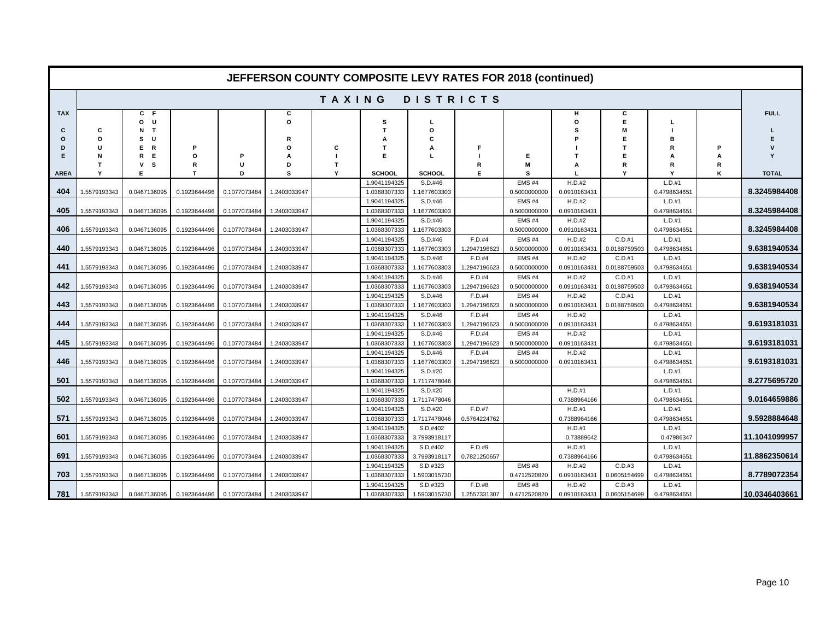| <b>JEFFERSON COUNTY COMPOSITE LEVY RATES FOR 2018 (continued)</b> |              |                   |              |                             |              |        |                              |                         |                        |                                   |                        |                     |                          |   |               |
|-------------------------------------------------------------------|--------------|-------------------|--------------|-----------------------------|--------------|--------|------------------------------|-------------------------|------------------------|-----------------------------------|------------------------|---------------------|--------------------------|---|---------------|
|                                                                   |              |                   |              |                             |              | TAXING |                              | <b>DISTRICTS</b>        |                        |                                   |                        |                     |                          |   |               |
| <b>TAX</b>                                                        |              | C<br>-F<br>U<br>О |              |                             | С<br>o       |        | s                            |                         |                        |                                   | н<br>$\circ$           | С<br>Е              |                          |   | <b>FULL</b>   |
| C                                                                 | C            | N T               |              |                             |              |        |                              | o                       |                        |                                   | s                      | M                   |                          |   |               |
| $\Omega$<br>D                                                     | $\circ$<br>U | U<br>s<br>R<br>Е  | P            |                             | R<br>o       | c      | т                            | C<br>A                  | F                      |                                   |                        | Е<br>$\mathbf \tau$ | в<br>R                   | P |               |
| F                                                                 | N            | Е<br>R            | $\Omega$     | Р                           | Α            |        | E                            |                         |                        | Е                                 |                        | Е                   | А                        | A | Y             |
|                                                                   | т            | s<br>v            | R            | U                           | D            | т      |                              |                         | R                      | M                                 |                        | R                   | R                        | R |               |
| <b>AREA</b>                                                       | Y            | E.                | T            | D                           | s            | Y      | SCHOOL                       | <b>SCHOOL</b>           | Е                      | s                                 |                        | Y                   |                          | ĸ | <b>TOTAL</b>  |
|                                                                   |              |                   |              |                             |              |        | 1.9041194325                 | S.D.#46                 |                        | EMS <sub>#4</sub>                 | H.D.#2                 |                     | L.D.#1                   |   |               |
| 404                                                               | 1.5579193343 | 0.0467136095      | 0.1923644496 | 0.1077073484                | 1.2403033947 |        | 1.0368307333                 | .1677603303             |                        | 0.5000000000                      | 0.0910163431           |                     | 0.4798634651             |   | 8.3245984408  |
| 405                                                               | 1.5579193343 | 0.0467136095      | 0.1923644496 | 0.1077073484                | 1.2403033947 |        | 1.9041194325<br>1.0368307333 | S.D.#46<br>1.1677603303 |                        | EMS <sub>#4</sub><br>0.5000000000 | H.D.#2<br>0.0910163431 |                     | L.D.#1<br>0.4798634651   |   | 8.3245984408  |
|                                                                   |              |                   |              |                             |              |        | 1.9041194325                 | S.D.#46                 |                        | <b>EMS #4</b>                     | H.D.#2                 |                     | $L.D.+1$                 |   |               |
| 406                                                               | 1.5579193343 | 0.0467136095      | 0.1923644496 | 0.1077073484                | 1.2403033947 |        | 1.0368307333                 | 1.1677603303            |                        | 0.5000000000                      | 0.0910163431           |                     | 0.4798634651             |   | 8.3245984408  |
|                                                                   |              |                   |              |                             |              |        | 1.9041194325                 | S.D.#46                 | F.D.#4                 | <b>EMS #4</b>                     | H.D.#2                 | $C.D.+1$            | L.D.#1                   |   |               |
| 440                                                               | 1.5579193343 | 0.0467136095      | 0.1923644496 | 0.1077073484                | 1.2403033947 |        | 1.0368307333                 | 1.1677603303            | 1.2947196623           | 0.5000000000                      | 0.0910163431           | 0.0188759503        | 0.4798634651             |   | 9.6381940534  |
|                                                                   |              |                   |              |                             |              |        | 1.9041194325                 | S.D.#46                 | F.D.#4                 | EMS#4                             | H.D.#2                 | $C.D.+1$            | $L.D.+1$                 |   |               |
| 441                                                               | 1.5579193343 | 0.0467136095      | 0.1923644496 | 0.1077073484                | 1.2403033947 |        | 1.0368307333                 | 1.1677603303            | 1.2947196623           | 0.5000000000                      | 0.0910163431           | 0.0188759503        | 0.4798634651             |   | 9.6381940534  |
|                                                                   |              |                   |              |                             |              |        | 1.9041194325                 | S.D.#46                 | F.D.#4                 | EMS <sub>#4</sub>                 | H.D.#2                 | $C.D.+1$            | L.D.#1                   |   |               |
| 442                                                               | 1.5579193343 | 0.0467136095      | 0.1923644496 | 0.1077073484                | 1.2403033947 |        | 1.0368307333                 | 1.1677603303            | 1.2947196623           | 0.5000000000                      | 0.0910163431           | 0.0188759503        | 0.4798634651             |   | 9.6381940534  |
| 443                                                               |              |                   |              |                             |              |        | 1.9041194325<br>1.0368307333 | S.D.#46                 | F.D.#4                 | EMS#4                             | H.D.#2                 | $C.D.+1$            | $L.D.+1$                 |   | 9.6381940534  |
|                                                                   | 1.5579193343 | 0.0467136095      | 0.1923644496 | 0.1077073484                | 1.2403033947 |        | 1.9041194325                 | 1.1677603303<br>S.D.#46 | 1.2947196623<br>F.D.#4 | 0.5000000000<br>EMS#4             | 0.0910163431<br>H.D.#2 | 0.0188759503        | 0.4798634651<br>$L.D.+1$ |   |               |
| 444                                                               | 1.5579193343 | 0.0467136095      | 0.1923644496 | 0.1077073484                | 1.2403033947 |        | 1.0368307333                 | 1.1677603303            | 1.2947196623           | 0.5000000000                      | 0.0910163431           |                     | 0.4798634651             |   | 9.6193181031  |
|                                                                   |              |                   |              |                             |              |        | 1.9041194325                 | S.D.#46                 | F.D.#4                 | EMS#4                             | H.D.#2                 |                     | $L.D.+1$                 |   |               |
| 445                                                               | 1.5579193343 | 0.0467136095      | 0.1923644496 | 0.1077073484                | 1.2403033947 |        | 1.0368307333                 | 1.1677603303            | 1.2947196623           | 0.5000000000                      | 0.0910163431           |                     | 0.4798634651             |   | 9.6193181031  |
|                                                                   |              |                   |              |                             |              |        | 1.9041194325                 | S.D.#46                 | F.D.#4                 | EMS#4                             | H.D.#2                 |                     | L.D.#1                   |   |               |
| 446                                                               | 1.5579193343 | 0.0467136095      | 0.1923644496 | 0.1077073484                | 1.2403033947 |        | 1.0368307333                 | 1.1677603303            | 1.2947196623           | 0.5000000000                      | 0.0910163431           |                     | 0.4798634651             |   | 9.6193181031  |
|                                                                   |              |                   |              |                             |              |        | 1.9041194325                 | S.D.#20                 |                        |                                   |                        |                     | $L.D.+1$                 |   |               |
| 501                                                               | 1.5579193343 | 0.0467136095      | 0.1923644496 | 0.1077073484                | 1.2403033947 |        | 1.0368307333                 | 1.7117478046            |                        |                                   |                        |                     | 0.4798634651             |   | 8.2775695720  |
| 502                                                               | 1.5579193343 | 0.0467136095      | 0.1923644496 | 0.1077073484                | 1.2403033947 |        | 1.9041194325<br>1.0368307333 | S.D.#20<br>1.7117478046 |                        |                                   | H.D.#1<br>0.7388964166 |                     | $L.D.+1$<br>0.4798634651 |   | 9.0164659886  |
|                                                                   |              |                   |              |                             |              |        | 1.9041194325                 | S.D.#20                 | F.D.#7                 |                                   | H.D.#1                 |                     | $L.D.+1$                 |   |               |
| 571                                                               | 1.5579193343 | 0.0467136095      | 0.1923644496 | 0.1077073484                | 1.2403033947 |        | 1.0368307333                 | 1.7117478046            | 0.5764224762           |                                   | 0.7388964166           |                     | 0.4798634651             |   | 9.5928884648  |
|                                                                   |              |                   |              |                             |              |        | 1.9041194325                 | S.D.#402                |                        |                                   | H.D.#1                 |                     | $L.D.+1$                 |   |               |
| 601                                                               | 1.5579193343 | 0.0467136095      | 0.1923644496 | 0.1077073484                | 1.2403033947 |        | 1.0368307333                 | 3.7993918117            |                        |                                   | 0.73889642             |                     | 0.47986347               |   | 11.1041099957 |
|                                                                   |              |                   |              |                             |              |        | 1.9041194325                 | S.D.#402                | F.D.#9                 |                                   | H.D.#1                 |                     | $L.D.+1$                 |   |               |
| 691                                                               | 1.5579193343 | 0.0467136095      | 0.1923644496 | 0.1077073484                | 1.2403033947 |        | 1.0368307333                 | 3.7993918117            | 0.7821250657           |                                   | 0.7388964166           |                     | 0.4798634651             |   | 11.8862350614 |
|                                                                   |              |                   |              |                             |              |        | 1.9041194325                 | S.D.#323                |                        | <b>EMS#8</b>                      | H.D.#2                 | C.D.#3              | L.D.#1                   |   |               |
| 703                                                               | 1.5579193343 | 0.0467136095      | 0.1923644496 | 0.1077073484                | 1.2403033947 |        | 1.0368307333                 | 1.5903015730            |                        | 0.4712520820                      | 0.0910163431           | 0.0605154699        | 0.4798634651             |   | 8.7789072354  |
|                                                                   |              |                   |              |                             |              |        | 1.9041194325                 | S.D.#323                | F.D.#8                 | EMS#8                             | H.D.#2                 | C.D.#3              | $L.D.+1$                 |   |               |
| 781                                                               | 1.5579193343 | 0.0467136095      |              | 0.1923644496   0.1077073484 | 1.2403033947 |        | 1.0368307333                 | 1.5903015730            | 1.2557331307           | 0.4712520820                      | 0.0910163431           | 0.0605154699        | 0.4798634651             |   | 10.0346403661 |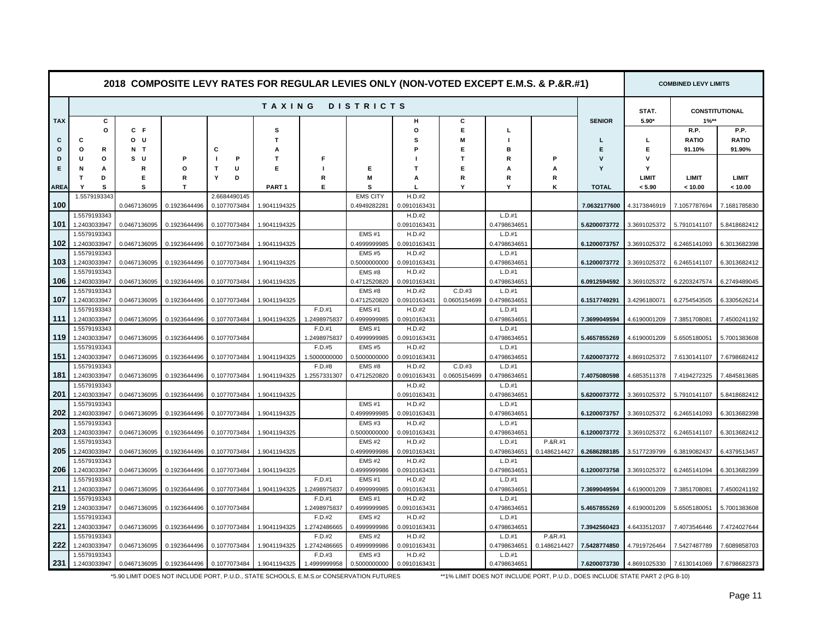| TAXING<br><b>DISTRICTS</b><br>С<br>С<br><b>TAX</b><br>н<br>O<br>C F<br>s<br>o<br>Е<br>L<br>o <sub>u</sub><br>C<br>$\mathbf{T}$<br>s<br>M<br>C<br>Е<br>o<br>O<br>R<br>N T<br>C<br>в<br>A<br>o<br>P<br>T<br>D<br>u<br>s u<br>Т<br>R<br>P<br>F<br>Е<br>R<br>T<br>U<br>Е<br>Е<br>Е<br>N<br>А<br>$\Omega$<br>A<br>A<br>Е<br>Y<br>D<br>M<br>R<br>т<br>D<br>R<br>R<br>R<br>R<br>А<br>s<br>s<br>s<br>PART <sub>1</sub><br>Е<br>Υ<br>Υ<br>κ<br>AREA<br>Y<br>т<br>1.5579193343<br><b>EMS CITY</b><br>H.D.#2<br>2.6684490145<br>100<br>0.0910163431<br>0.0467136095<br>0.1923644496<br>0.1077073484<br>1.9041194325<br>0.4949282281<br>1.5579193343<br>L.D.#1<br>H.D.#2<br>0.4798634651<br>101<br>1.2403033947<br>0.0467136095<br>0.1923644496<br>0.1077073484<br>1.9041194325<br>0.0910163431<br><b>EMS#1</b><br>H.D.#2<br>1.5579193343<br>L.D.#1 | 2018 COMPOSITE LEVY RATES FOR REGULAR LEVIES ONLY (NON-VOTED EXCEPT E.M.S. & P.&R.#1) | <b>COMBINED LEVY LIMITS</b> |              |                       |
|-----------------------------------------------------------------------------------------------------------------------------------------------------------------------------------------------------------------------------------------------------------------------------------------------------------------------------------------------------------------------------------------------------------------------------------------------------------------------------------------------------------------------------------------------------------------------------------------------------------------------------------------------------------------------------------------------------------------------------------------------------------------------------------------------------------------------------------------|---------------------------------------------------------------------------------------|-----------------------------|--------------|-----------------------|
|                                                                                                                                                                                                                                                                                                                                                                                                                                                                                                                                                                                                                                                                                                                                                                                                                                         |                                                                                       | STAT.                       |              | <b>CONSTITUTIONAL</b> |
|                                                                                                                                                                                                                                                                                                                                                                                                                                                                                                                                                                                                                                                                                                                                                                                                                                         | <b>SENIOR</b>                                                                         | $5.90*$                     | $1\%**$      |                       |
|                                                                                                                                                                                                                                                                                                                                                                                                                                                                                                                                                                                                                                                                                                                                                                                                                                         |                                                                                       |                             | R.P.         | P.P.                  |
|                                                                                                                                                                                                                                                                                                                                                                                                                                                                                                                                                                                                                                                                                                                                                                                                                                         | L                                                                                     | L                           | <b>RATIO</b> | <b>RATIO</b>          |
|                                                                                                                                                                                                                                                                                                                                                                                                                                                                                                                                                                                                                                                                                                                                                                                                                                         | E                                                                                     | Е                           | 91.10%       | 91.90%                |
|                                                                                                                                                                                                                                                                                                                                                                                                                                                                                                                                                                                                                                                                                                                                                                                                                                         | V                                                                                     | $\mathbf v$                 |              |                       |
|                                                                                                                                                                                                                                                                                                                                                                                                                                                                                                                                                                                                                                                                                                                                                                                                                                         | Y                                                                                     | Y                           |              |                       |
|                                                                                                                                                                                                                                                                                                                                                                                                                                                                                                                                                                                                                                                                                                                                                                                                                                         |                                                                                       | LIMIT                       | <b>LIMIT</b> | <b>LIMIT</b>          |
|                                                                                                                                                                                                                                                                                                                                                                                                                                                                                                                                                                                                                                                                                                                                                                                                                                         | <b>TOTAL</b>                                                                          | < 5.90                      | < 10.00      | < 10.00               |
|                                                                                                                                                                                                                                                                                                                                                                                                                                                                                                                                                                                                                                                                                                                                                                                                                                         |                                                                                       |                             |              |                       |
|                                                                                                                                                                                                                                                                                                                                                                                                                                                                                                                                                                                                                                                                                                                                                                                                                                         | 7.0632177600                                                                          | 4.3173846919                | 7.1057787694 | 7.1681785830          |
|                                                                                                                                                                                                                                                                                                                                                                                                                                                                                                                                                                                                                                                                                                                                                                                                                                         |                                                                                       |                             |              |                       |
|                                                                                                                                                                                                                                                                                                                                                                                                                                                                                                                                                                                                                                                                                                                                                                                                                                         | 5.6200073772                                                                          | 3.3691025372                | 5.7910141107 | 5.8418682412          |
|                                                                                                                                                                                                                                                                                                                                                                                                                                                                                                                                                                                                                                                                                                                                                                                                                                         |                                                                                       |                             |              |                       |
| 102<br>1.2403033947<br>0.1923644496<br>0.4999999985<br>0.0910163431<br>0.4798634651<br>0.0467136095<br>0.1077073484<br>1.9041194325                                                                                                                                                                                                                                                                                                                                                                                                                                                                                                                                                                                                                                                                                                     | 6.1200073757                                                                          | 3.3691025372                | 6.2465141093 | 6.3013682398          |
| 1.5579193343<br><b>EMS #5</b><br>H.D.#2<br>L.D.#1                                                                                                                                                                                                                                                                                                                                                                                                                                                                                                                                                                                                                                                                                                                                                                                       |                                                                                       |                             |              |                       |
| 103<br>1.2403033947<br>0.0467136095<br>0.1923644496<br>0.1077073484<br>1.9041194325<br>0.5000000000<br>0.0910163431<br>0.4798634651                                                                                                                                                                                                                                                                                                                                                                                                                                                                                                                                                                                                                                                                                                     | 6.1200073772                                                                          | 3.3691025372                | 6.2465141107 | 6.3013682412          |
| 1.5579193343<br><b>EMS#8</b><br>H.D.#2<br>L.D.#1                                                                                                                                                                                                                                                                                                                                                                                                                                                                                                                                                                                                                                                                                                                                                                                        |                                                                                       |                             |              |                       |
| 106<br>1.2403033947<br>0.4712520820<br>0.0467136095<br>0.1923644496<br>0.1077073484<br>1.9041194325<br>0.0910163431<br>0.4798634651                                                                                                                                                                                                                                                                                                                                                                                                                                                                                                                                                                                                                                                                                                     | 6.0912594592                                                                          | 3.3691025372                | 6.2203247574 | 6.2749489045          |
| C.D.#3<br>H.D.#2<br>1.5579193343<br>EMS#8<br>L.D.#1                                                                                                                                                                                                                                                                                                                                                                                                                                                                                                                                                                                                                                                                                                                                                                                     |                                                                                       |                             |              |                       |
| 107<br>1.2403033947<br>0.0467136095<br>0.1923644496<br>0.1077073484<br>1.9041194325<br>0.4712520820<br>0.0910163431<br>0.0605154699<br>0.4798634651                                                                                                                                                                                                                                                                                                                                                                                                                                                                                                                                                                                                                                                                                     | 6.1517749291                                                                          | 3.4296180071                | 6.2754543505 | 6.3305626214          |
| F.D.#1<br>1.5579193343<br><b>EMS#1</b><br>H.D.#2<br>L.D.#1                                                                                                                                                                                                                                                                                                                                                                                                                                                                                                                                                                                                                                                                                                                                                                              |                                                                                       |                             |              |                       |
| 111<br>1.2403033947<br>0.0467136095<br>0.1923644496<br>0.1077073484<br>1.9041194325<br>1.2498975837<br>0.4999999985<br>0.0910163431<br>0.4798634651                                                                                                                                                                                                                                                                                                                                                                                                                                                                                                                                                                                                                                                                                     | 7.3699049594                                                                          | 4.6190001209                | 7.3851708081 | 7.4500241192          |
| 1.5579193343<br><b>EMS#1</b><br>H.D.#2<br>F.D.#1<br>L.D.#1                                                                                                                                                                                                                                                                                                                                                                                                                                                                                                                                                                                                                                                                                                                                                                              |                                                                                       |                             |              |                       |
| 119<br>0.4999999985<br>0.0910163431<br>1.2403033947<br>0.0467136095<br>0.1923644496<br>0.1077073484<br>1.2498975837<br>0.4798634651                                                                                                                                                                                                                                                                                                                                                                                                                                                                                                                                                                                                                                                                                                     | 5.4657855269                                                                          | 4.6190001209                | 5.6505180051 | 5.7001383608          |
| 1.5579193343<br>F.D.#5<br><b>EMS #5</b><br>H.D.#2<br>L.D.#1                                                                                                                                                                                                                                                                                                                                                                                                                                                                                                                                                                                                                                                                                                                                                                             |                                                                                       |                             |              |                       |
| 151<br>0.4798634651<br>1.2403033947<br>0.0467136095<br>0.1923644496<br>1.9041194325<br>1.5000000000<br>0.5000000000<br>0.0910163431<br>0.1077073484                                                                                                                                                                                                                                                                                                                                                                                                                                                                                                                                                                                                                                                                                     | 7.6200073772                                                                          | 4.8691025372                | 7.6130141107 | 7.6798682412          |
| F.D.#8<br><b>EMS#8</b><br>H.D.#2<br>C.D.#3<br>L.D.#1<br>1.5579193343                                                                                                                                                                                                                                                                                                                                                                                                                                                                                                                                                                                                                                                                                                                                                                    |                                                                                       |                             |              |                       |
| 181<br>0.1923644496<br>0.1077073484<br>1.9041194325<br>1.2557331307<br>0.4712520820<br>0.0910163431<br>0.0605154699<br>0.4798634651<br>1.2403033947<br>0.0467136095                                                                                                                                                                                                                                                                                                                                                                                                                                                                                                                                                                                                                                                                     | 7.4075080598                                                                          | 4.6853511378                | 7.4194272325 | 7.4845813685          |
| H.D.#2<br>L.D.#1<br>1.5579193343                                                                                                                                                                                                                                                                                                                                                                                                                                                                                                                                                                                                                                                                                                                                                                                                        |                                                                                       |                             |              |                       |
| 201<br>1.2403033947<br>0.0467136095<br>0.1923644496<br>1.9041194325<br>0.0910163431<br>0.4798634651<br>0.1077073484                                                                                                                                                                                                                                                                                                                                                                                                                                                                                                                                                                                                                                                                                                                     | 5.6200073772                                                                          | 3.3691025372                | 5.7910141107 | 5.8418682412          |
| 1.5579193343<br><b>EMS#1</b><br>H.D.#2<br>L.D.#1                                                                                                                                                                                                                                                                                                                                                                                                                                                                                                                                                                                                                                                                                                                                                                                        |                                                                                       |                             |              |                       |
| 202<br>0.4999999985<br>1.2403033947<br>0.0467136095<br>0.1923644496<br>0.1077073484<br>1.9041194325<br>0.0910163431<br>0.4798634651                                                                                                                                                                                                                                                                                                                                                                                                                                                                                                                                                                                                                                                                                                     | 6.1200073757                                                                          | 3.3691025372                | 6.2465141093 | 6.3013682398          |
| 1.5579193343<br>H.D.#2<br>EMS#3<br>L.D.#1                                                                                                                                                                                                                                                                                                                                                                                                                                                                                                                                                                                                                                                                                                                                                                                               |                                                                                       |                             |              |                       |
| 203<br>1.2403033947<br>0.0910163431<br>0.0467136095<br>0.1923644496<br>0.1077073484<br>1.9041194325<br>0.5000000000<br>0.4798634651                                                                                                                                                                                                                                                                                                                                                                                                                                                                                                                                                                                                                                                                                                     | 6.1200073772                                                                          | 3.3691025372                | 6.2465141107 | 6.3013682412          |
| P.&R.#1<br>1.5579193343<br><b>EMS#2</b><br>H.D.#2<br>L.D.#1                                                                                                                                                                                                                                                                                                                                                                                                                                                                                                                                                                                                                                                                                                                                                                             |                                                                                       |                             |              |                       |
| 205<br>1.2403033947<br>0.0910163431<br>0.4798634651<br>0.1486214427<br>0.0467136095<br>0.1923644496<br>0.1077073484<br>1.9041194325<br>0.4999999986                                                                                                                                                                                                                                                                                                                                                                                                                                                                                                                                                                                                                                                                                     | 6.2686288185                                                                          | 3.5177239799                | 6.3819082437 | 6.4379513457          |
| 1.5579193343<br><b>EMS#2</b><br>H.D.#2<br>L.D.#1                                                                                                                                                                                                                                                                                                                                                                                                                                                                                                                                                                                                                                                                                                                                                                                        |                                                                                       |                             |              |                       |
| 206<br>0.4798634651<br>1.2403033947<br>0.0467136095<br>0.1923644496<br>0.1077073484<br>1.9041194325<br>0.4999999986<br>0.0910163431                                                                                                                                                                                                                                                                                                                                                                                                                                                                                                                                                                                                                                                                                                     | 6.1200073758                                                                          | 3.3691025372                | 6.2465141094 | 6.3013682399          |
| F.D.#1<br>H.D.#2<br>1.5579193343<br><b>EMS#1</b><br>$L.D.+1$                                                                                                                                                                                                                                                                                                                                                                                                                                                                                                                                                                                                                                                                                                                                                                            |                                                                                       |                             |              |                       |
| 211<br>1.2403033947<br>0.0467136095<br>0.1923644496<br>0.1077073484<br>1.9041194325<br>1.2498975837<br>0.4999999985<br>0.0910163431<br>0.4798634651<br><b>EMS#1</b>                                                                                                                                                                                                                                                                                                                                                                                                                                                                                                                                                                                                                                                                     | 7.3699049594                                                                          | 4.6190001209                | 7.3851708081 | 7.4500241192          |
| H.D.#2<br>1.5579193343<br>F.D.#1<br>L.D.#1<br>219<br>1.2403033947<br>0.1923644496<br>0.4999999985                                                                                                                                                                                                                                                                                                                                                                                                                                                                                                                                                                                                                                                                                                                                       | 5.4657855269                                                                          |                             |              | 5.7001383608          |
| 0.0467136095<br>0.1077073484<br>1.2498975837<br>0.0910163431<br>0.4798634651<br>1.5579193343<br>F.D.#2<br><b>EMS#2</b><br>H.D.#2<br>L.D.#1                                                                                                                                                                                                                                                                                                                                                                                                                                                                                                                                                                                                                                                                                              |                                                                                       | 4.6190001209                | 5.6505180051 |                       |
| 221<br>1.2403033947<br>0.0467136095<br>0.1923644496<br>1.9041194325<br>1.2742486665<br>0.4999999986<br>0.0910163431<br>0.4798634651<br>0.1077073484                                                                                                                                                                                                                                                                                                                                                                                                                                                                                                                                                                                                                                                                                     | 7.3942560423                                                                          | 4.6433512037                | 7.4073546446 | 7.4724027644          |
| 1.5579193343<br>F.D.#2<br><b>EMS#2</b><br>H.D.#2<br>L.D.#1<br>P.&R.#1                                                                                                                                                                                                                                                                                                                                                                                                                                                                                                                                                                                                                                                                                                                                                                   |                                                                                       |                             |              |                       |
| 222<br>1.2403033947<br>0.4999999986<br>0.0910163431<br>0.1486214427<br>0.0467136095<br>0.1923644496<br>0.1077073484<br>1.9041194325<br>1.2742486665<br>0.4798634651                                                                                                                                                                                                                                                                                                                                                                                                                                                                                                                                                                                                                                                                     |                                                                                       |                             |              |                       |
| 1.5579193343<br>F.D.#3<br><b>EMS #3</b><br>H.D.#2<br>L.D.#1                                                                                                                                                                                                                                                                                                                                                                                                                                                                                                                                                                                                                                                                                                                                                                             |                                                                                       |                             |              |                       |
| 231<br>1.2403033947<br>0.0467136095<br>0.1923644496<br>0.1077073484 1.9041194325<br>1.4999999958<br>0.5000000000<br>0.0910163431<br>0.4798634651                                                                                                                                                                                                                                                                                                                                                                                                                                                                                                                                                                                                                                                                                        | 7.5428774850                                                                          | 4.7919726464                | 7.5427487789 | 7.6089858703          |

\*5.90 LIMIT DOES NOT INCLUDE PORT, P.U.D., STATE SCHOOLS, E.M.S.or CONSERVATION FUTURES

\*\*1% LIMIT DOES NOT INCLUDE PORT, P.U.D., DOES INCLUDE STATE PART 2 (PG 8-10)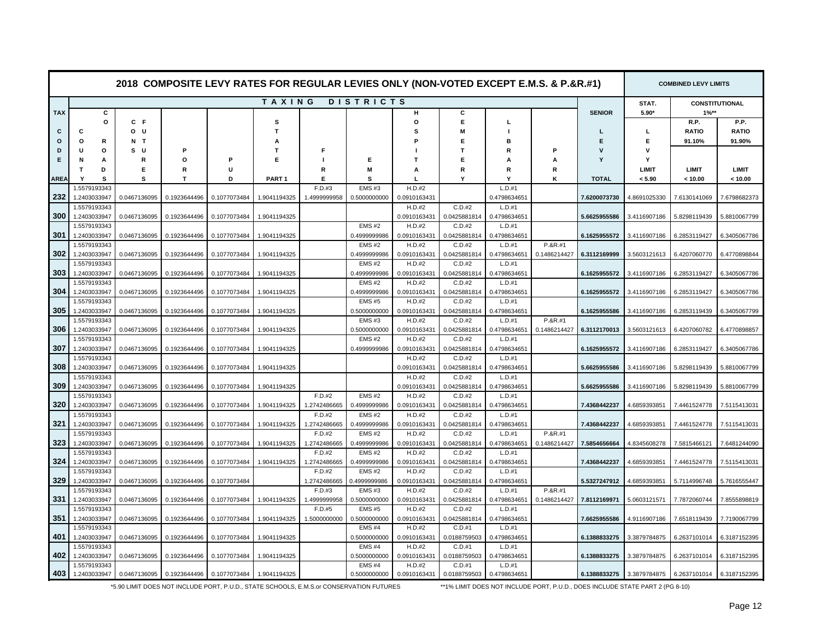| 2018 COMPOSITE LEVY RATES FOR REGULAR LEVIES ONLY (NON-VOTED EXCEPT E.M.S. & P.&R.#1) |                              |              |              |              |                   |              |                   |                        |                        |                        |              | <b>COMBINED LEVY LIMITS</b> |              |              |                       |
|---------------------------------------------------------------------------------------|------------------------------|--------------|--------------|--------------|-------------------|--------------|-------------------|------------------------|------------------------|------------------------|--------------|-----------------------------|--------------|--------------|-----------------------|
|                                                                                       |                              |              |              |              | TAXING            |              | <b>DISTRICTS</b>  |                        |                        |                        |              |                             | STAT.        |              | <b>CONSTITUTIONAL</b> |
| <b>TAX</b>                                                                            | С                            |              |              |              |                   |              |                   | н                      | c                      |                        |              | <b>SENIOR</b>               | $5.90*$      | $1\%**$      |                       |
|                                                                                       | o                            | C F          |              |              | s                 |              |                   | $\circ$                | Е                      | L                      |              |                             |              | R.P.         | P.P.                  |
| C                                                                                     | С                            | o u          |              |              | $\mathbf T$       |              |                   | S                      | м                      |                        |              |                             | L            | <b>RATIO</b> | <b>RATIO</b>          |
| $\circ$                                                                               | o<br>R                       | N T          |              |              | A                 |              |                   |                        | Е                      | B                      |              | E                           | Е            | 91.10%       | 91.90%                |
| D                                                                                     | U<br>$\circ$                 | s u          |              |              | т                 |              |                   |                        | Т                      | R                      |              | v                           | v            |              |                       |
| Е                                                                                     | N<br>A                       | R            | O            | P            | Е                 |              | Е                 | т                      | F                      | A                      | A            | Y                           | Y            |              |                       |
|                                                                                       | т<br>D                       | Е            | R            | U            |                   | R            | M                 |                        | R                      | R                      | R            |                             | LIMIT        | <b>LIMIT</b> | <b>LIMIT</b>          |
| <b>AREA</b>                                                                           | s                            | s            | т            | D            | PART <sub>1</sub> | Е            | s                 |                        | Υ                      | Y                      | κ            | <b>TOTAL</b>                | < 5.90       | < 10.00      | < 10.00               |
|                                                                                       | 1.5579193343                 |              |              |              |                   | F.D.#3       | <b>EMS #3</b>     | H.D.#2                 |                        | L.D.#1                 |              |                             |              |              |                       |
| 232                                                                                   | 1.2403033947                 | 0.0467136095 | 0.1923644496 | 0.1077073484 | 1.9041194325      | 1.4999999958 | 0.5000000000      | 0.0910163431           |                        | 0.4798634651           |              | 7.6200073730                | 4.8691025330 | 7.6130141069 | 7.6798682373          |
|                                                                                       | 1.5579193343                 |              |              |              |                   |              |                   | H.D.#2                 | C.D.#2                 | L.D.#1                 |              |                             |              |              |                       |
| 300                                                                                   | 1.2403033947                 | 0.0467136095 | 0.1923644496 | 0.1077073484 | 1.9041194325      |              |                   | 0.0910163431           | 0.0425881814           | 0.4798634651           |              | 5.6625955586                | 3.4116907186 | 5.8298119439 | 5.8810067799          |
|                                                                                       | 1.5579193343                 |              |              |              |                   |              | $EMS$ #2          | H.D.#2                 | C.D.#2                 | L.D.#1                 |              |                             |              |              |                       |
| 301                                                                                   | 1.2403033947                 | 0.0467136095 | 0.1923644496 | 0.1077073484 | 1.9041194325      |              | 0.4999999986      | 0.0910163431           | 0.0425881814           | 0.4798634651           |              | 6.1625955572                | 3.4116907186 | 6.2853119427 | 6.3405067786          |
|                                                                                       | 1.5579193343                 |              |              |              |                   |              | $EMS$ #2          | H.D.#2                 | C.D.#2                 | $L.D.+1$               | P.&R.#1      |                             |              |              |                       |
| 302                                                                                   | 1.2403033947                 | 0.0467136095 | 0.1923644496 | 0.1077073484 | 1.9041194325      |              | 0.4999999986      | 0.0910163431           | 0.0425881814           | 0.4798634651           | 0.1486214427 | 6.3112169999                | 3.5603121613 | 6.4207060770 | 6.4770898844          |
|                                                                                       | 1.5579193343                 |              |              |              |                   |              | EMS#2             | H.D.#2                 | C.D.#2                 | L.D.#1                 |              |                             |              |              |                       |
| 303                                                                                   | 1.2403033947                 | 0.0467136095 | 0.1923644496 | 0.1077073484 | 1.9041194325      |              | 0.4999999986      | 0.0910163431           | 0.0425881814           | 0.4798634651           |              | 6.1625955572                | 3.4116907186 | 6.2853119427 | 6.3405067786          |
|                                                                                       | 1.5579193343                 |              |              |              |                   |              | <b>EMS#2</b>      | H.D.#2                 | C.D.#2                 | L.D.#1                 |              |                             |              |              |                       |
| 304                                                                                   | 1.2403033947                 | 0.0467136095 | 0.1923644496 | 0.1077073484 | 1.9041194325      |              | 0.4999999986      | 0.0910163431           | 0.0425881814           | 0.479863465            |              | 6.1625955572                | 3.4116907186 | 6.2853119427 | 6.3405067786          |
|                                                                                       | 1.5579193343                 |              |              |              |                   |              | <b>EMS #5</b>     | H.D.#2                 | C.D.#2                 | L.D.#1                 |              |                             |              |              |                       |
| 305                                                                                   | 1.2403033947                 | 0.0467136095 | 0.1923644496 | 0.1077073484 | 1.9041194325      |              | 0.5000000000      | 0.0910163431           | 0.0425881814           | 0.4798634651           |              | 6.1625955586                | 3.4116907186 | 6.2853119439 | 6.3405067799          |
|                                                                                       | 1.5579193343                 |              |              |              |                   |              | EMS#3             | H.D.#2                 | C.D.#2                 | L.D.#1                 | P.&R.#1      |                             |              |              |                       |
| 306                                                                                   | 1.2403033947                 | 0.0467136095 | 0.1923644496 | 0.1077073484 | 1.9041194325      |              | 0.5000000000      | 0.0910163431           | 0.0425881814           | 0.4798634651           | 0.1486214427 | 6.3112170013                | 3.5603121613 | 6.4207060782 | 6.4770898857          |
|                                                                                       | 1.5579193343                 |              |              |              |                   |              | <b>EMS#2</b>      | H.D.#2                 | C.D.#2                 | L.D.#1                 |              |                             |              |              |                       |
| 307                                                                                   | 1.2403033947                 | 0.0467136095 | 0.1923644496 | 0.1077073484 | 1.9041194325      |              | 0.4999999986      | 0.0910163431           | 0.0425881814           | 0.4798634651           |              | 6.1625955572                | 3.4116907186 | 6.2853119427 | 6.3405067786          |
|                                                                                       | 1.5579193343                 |              |              |              |                   |              |                   | H.D.#2                 | C.D.#2                 | L.D.#1                 |              |                             |              |              |                       |
| 308                                                                                   | 1.2403033947                 | 0.0467136095 | 0.1923644496 | 0.1077073484 | 1.9041194325      |              |                   | 0.0910163431<br>H.D.#2 | 0.0425881814<br>C.D.#2 | 0.4798634651<br>L.D.#1 |              | 5.6625955586                | 3.4116907186 | 5.8298119439 | 5.8810067799          |
| 309                                                                                   | 1.5579193343                 |              |              |              |                   |              |                   |                        |                        |                        |              |                             |              |              |                       |
|                                                                                       | 1.2403033947<br>1.5579193343 | 0.0467136095 | 0.1923644496 | 0.1077073484 | 1.9041194325      | F.D.#2       | <b>EMS#2</b>      | 0.0910163431<br>H.D.#2 | 0.0425881814<br>C.D.#2 | 0.4798634651<br>L.D.#1 |              | 5.6625955586                | 3.4116907186 | 5.8298119439 | 5.8810067799          |
| 320                                                                                   | 1.2403033947                 | 0.0467136095 | 0.1923644496 | 0.1077073484 | 1.9041194325      | 1.2742486665 | 0.4999999986      | 0.0910163431           | 0.0425881814           | 0.4798634651           |              | 7.4368442237                | 4.6859393851 | 7.4461524778 | 7.5115413031          |
|                                                                                       | 1.5579193343                 |              |              |              |                   | F.D.#2       | $EMS$ #2          | H.D.#2                 | C.D.#2                 | L.D.#1                 |              |                             |              |              |                       |
| 321                                                                                   | 1.2403033947                 | 0.0467136095 | 0.1923644496 | 0.1077073484 | 1.9041194325      | 1.2742486665 | 0.4999999986      | 0.0910163431           | 0.0425881814           | 0.4798634651           |              | 7.4368442237                | 4.6859393851 | 7.4461524778 | 7.5115413031          |
|                                                                                       | 1.5579193343                 |              |              |              |                   | F.D.#2       | <b>EMS#2</b>      | H.D.#2                 | C.D.#2                 | L.D.#1                 | P.&R.#1      |                             |              |              |                       |
| 323                                                                                   | 1.2403033947                 | 0.0467136095 | 0.1923644496 | 0.1077073484 | 1.9041194325      | 1.2742486665 | 0.4999999986      | 0.0910163431           | 0.0425881814           | 0.4798634651           | 0.1486214427 | 7.5854656664                | 4.8345608278 | 7.5815466121 | 7.6481244090          |
|                                                                                       | 1.5579193343                 |              |              |              |                   | F.D.#2       | $EMS$ #2          | H.D.#2                 | C.D.#2                 | $L.D.+1$               |              |                             |              |              |                       |
| 324                                                                                   | 1.2403033947                 | 0.0467136095 | 0.1923644496 | 0.1077073484 | 1.9041194325      | 1.2742486665 | 0.4999999986      | 0.0910163431           | 0.0425881814           | 0.4798634651           |              | 7.4368442237                | 4.6859393851 | 7.4461524778 | 7.5115413031          |
|                                                                                       | 1.5579193343                 |              |              |              |                   | F.D.#2       | <b>EMS#2</b>      | H.D.#2                 | C.D.#2                 | L.D.#1                 |              |                             |              |              |                       |
| 329                                                                                   | 1.2403033947                 | 0.0467136095 | 0.1923644496 | 0.1077073484 |                   | 1.2742486665 | 0.4999999986      | 0.0910163431           | 0.0425881814           | 0.4798634651           |              | 5.5327247912                | 4.6859393851 | 5.7114996748 | 5.7616555447          |
|                                                                                       | 1.5579193343                 |              |              |              |                   | F.D.#3       | EMS#3             | H.D.#2                 | C.D.#2                 | L.D.#1                 | P.&R.#1      |                             |              |              |                       |
| 331                                                                                   | 1.2403033947                 | 0.0467136095 | 0.1923644496 | 0.1077073484 | 1.9041194325      | 1.4999999958 | 0.5000000000      | 0.0910163431           | 0.0425881814           | 0.4798634651           | 0.1486214427 | 7.8112169971                | 5.0603121571 | 7.7872060744 | 7.8555898819          |
|                                                                                       | 1.5579193343                 |              |              |              |                   | F.D.#5       | <b>EMS #5</b>     | H.D.#2                 | C.D.#2                 | L.D.#1                 |              |                             |              |              |                       |
| 351                                                                                   | 1.2403033947                 | 0.0467136095 | 0.1923644496 | 0.1077073484 | 1.9041194325      | 1.5000000000 | 0.5000000000      | 0.0910163431           | 0.0425881814           | 0.4798634651           |              | 7.6625955586                | 4.9116907186 | 7.6518119439 | 7.7190067799          |
|                                                                                       | 1.5579193343                 |              |              |              |                   |              | EMS#4             | H.D.#2                 | C.D.#1                 | L.D.#1                 |              |                             |              |              |                       |
| 401                                                                                   | 1.2403033947                 | 0.0467136095 | 0.1923644496 | 0.1077073484 | 1.9041194325      |              | 0.5000000000      | 0.0910163431           | 0.0188759503           | 0.4798634651           |              | 6.1388833275                | 3.3879784875 | 6.2637101014 | 6.3187152395          |
|                                                                                       | 1.5579193343                 |              |              |              |                   |              | <b>EMS#4</b>      | H.D.#2                 | C.D.#1                 | L.D.#1                 |              |                             |              |              |                       |
| 402                                                                                   | 1.2403033947                 | 0.0467136095 | 0.1923644496 | 0.1077073484 | 1.9041194325      |              | 0.5000000000      | 0.0910163431           | 0.0188759503           | 0.4798634651           |              | 6.1388833275                | 3.3879784875 | 6.2637101014 | 6.3187152395          |
|                                                                                       | 1.5579193343                 |              |              |              |                   |              | EMS <sub>#4</sub> | H.D.#2                 | C.D.#1                 | L.D.#1                 |              |                             |              |              |                       |
| 403                                                                                   | 1.2403033947                 | 0.0467136095 | 0.1923644496 | 0.1077073484 | 1.9041194325      |              | 0.5000000000      | 0.0910163431           | 0.0188759503           | 0.4798634651           |              | 6.1388833275                | 3.3879784875 | 6.2637101014 | 6.3187152395          |

\*5.90 LIMIT DOES NOT INCLUDE PORT, P.U.D., STATE SCHOOLS, E.M.S.or CONSERVATION FUTURES

\*\*1% LIMIT DOES NOT INCLUDE PORT, P.U.D., DOES INCLUDE STATE PART 2 (PG 8-10)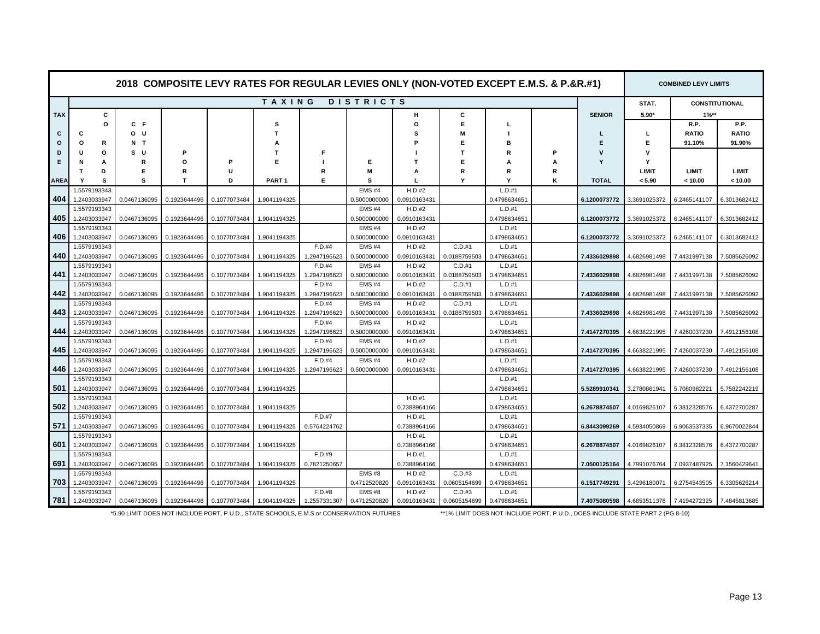|             | 2018 COMPOSITE LEVY RATES FOR REGULAR LEVIES ONLY (NON-VOTED EXCEPT E.M.S. & P.&R.#1)<br>TAXING<br><b>DISTRICTS</b> |              |              |              |                   |                        |                               |                        |                        |                        |   |               |              | <b>COMBINED LEVY LIMITS</b> |                       |  |
|-------------|---------------------------------------------------------------------------------------------------------------------|--------------|--------------|--------------|-------------------|------------------------|-------------------------------|------------------------|------------------------|------------------------|---|---------------|--------------|-----------------------------|-----------------------|--|
|             |                                                                                                                     |              |              |              |                   |                        |                               |                        |                        |                        |   |               | STAT.        |                             | <b>CONSTITUTIONAL</b> |  |
| <b>TAX</b>  | C                                                                                                                   |              |              |              |                   |                        |                               | н                      | C                      |                        |   | <b>SENIOR</b> | $5.90*$      | $1\%**$                     |                       |  |
|             | O                                                                                                                   | C F          |              |              | s                 |                        |                               | O                      | Е                      | L                      |   |               |              | R.P.                        | P.P.                  |  |
| C           | c                                                                                                                   | o u          |              |              | т                 |                        |                               |                        |                        |                        |   |               | L            | <b>RATIO</b>                | <b>RATIO</b>          |  |
| o           | o<br>R                                                                                                              | N T          |              |              |                   |                        |                               |                        | Е                      | в                      |   | Е             | Е            | 91.10%                      | 91.90%                |  |
| D           | O<br>u                                                                                                              | s u          | P            |              | T                 | F                      |                               |                        | т                      | R                      | Р | v             | v            |                             |                       |  |
| E           | N<br>А                                                                                                              | R            | О            | P            | Е                 |                        | Е                             |                        |                        | А                      | Α |               | Y            |                             |                       |  |
|             | D<br>т                                                                                                              | Е            | R            | u            |                   | R                      | M                             | А                      | R                      | R                      | R |               | <b>LIMIT</b> | <b>LIMIT</b>                | <b>LIMIT</b>          |  |
| <b>AREA</b> | s<br>Y                                                                                                              | s            | $\mathbf{T}$ | D            | PART <sub>1</sub> | Е                      | s                             |                        | Y                      | Y                      | Κ | <b>TOTAL</b>  | < 5.90       | < 10.00                     | < 10.00               |  |
|             | 1.5579193343                                                                                                        |              |              |              |                   |                        | EMS#4                         | H.D.#2                 |                        | L.D.#1                 |   |               |              |                             |                       |  |
| 404         | 1.2403033947                                                                                                        | 0.0467136095 | 0.1923644496 | 0.1077073484 | 1.9041194325      |                        | 0.5000000000                  | 0.0910163431           |                        | 0.4798634651           |   | 6.1200073772  | 3.3691025372 | 6.2465141107                | 6.3013682412          |  |
|             | 1.5579193343                                                                                                        |              |              |              |                   |                        | $EMS$ #4                      | H.D.#2                 |                        | L.D.#1                 |   |               |              |                             |                       |  |
| 405         | 1.2403033947                                                                                                        | 0.0467136095 | 0.1923644496 | 0.1077073484 | 1.9041194325      |                        | 0.5000000000                  | 0.0910163431           |                        | 0.4798634651           |   | 6.1200073772  | 3.3691025372 | 6.2465141107                | 6.3013682412          |  |
|             | 1.5579193343                                                                                                        |              |              |              |                   |                        | EMS#4                         | H.D.#2                 |                        | L.D.#1                 |   |               |              |                             |                       |  |
| 406         | 1.2403033947                                                                                                        | 0.0467136095 | 0.1923644496 | 0.1077073484 | 1.9041194325      |                        | 0.5000000000                  | 0.0910163431           |                        | 0.4798634651           |   | 6.1200073772  | 3.3691025372 | 6.2465141107                | 6.3013682412          |  |
|             | 1.5579193343                                                                                                        |              |              |              |                   | F.D.#4                 | <b>EMS#4</b>                  | H.D.#2                 | $C.D.+1$               | L.D.#1                 |   |               |              |                             |                       |  |
| 440         | 1.2403033947                                                                                                        | 0.0467136095 | 0.1923644496 | 0.1077073484 | 1.9041194325      | 1.2947196623           | 0.5000000000                  | 0.0910163431           | 0.0188759503           | 0.4798634651           |   | 7.4336029898  | 4.6826981498 | 7.4431997138                | 7.5085626092          |  |
|             | 1.5579193343                                                                                                        |              |              |              |                   | F.D.#4                 | EMS#4                         | H.D.#2                 | $C.D.+1$               | L.D.#1                 |   |               |              |                             |                       |  |
| 441         | 1.2403033947<br>1.5579193343                                                                                        | 0.0467136095 | 0.1923644496 | 0.1077073484 | 1.9041194325      | 1.2947196623<br>F.D.#4 | 0.5000000000<br><b>EMS #4</b> | 0.0910163431<br>H.D.#2 | 0.0188759503<br>C.D.#1 | 0.4798634651<br>L.D.#1 |   | 7.4336029898  | 4.6826981498 | 7.4431997138                | 7.5085626092          |  |
| 442         | 1.2403033947                                                                                                        | 0.0467136095 | 0.1923644496 | 0.1077073484 | 1.9041194325      | 1.2947196623           | 0.5000000000                  | 0.0910163431           | 0.0188759503           | 0.4798634651           |   | 7.4336029898  | 4.6826981498 | 7.4431997138                | 7.5085626092          |  |
|             | 1.5579193343                                                                                                        |              |              |              |                   | F.D.#4                 | EMS#4                         | H.D.#2                 | C.D.#1                 | L.D.#1                 |   |               |              |                             |                       |  |
| 443         | 1.2403033947                                                                                                        | 0.0467136095 | 0.1923644496 | 0.1077073484 | 1.9041194325      | 1.2947196623           | 0.5000000000                  | 0.0910163431           | 0.0188759503           | 0.4798634651           |   | 7.4336029898  | 4.6826981498 | 7.4431997138                | 7.5085626092          |  |
|             | 1.5579193343                                                                                                        |              |              |              |                   | F.D.#4                 | EMS#4                         | H.D.#2                 |                        | L.D.#1                 |   |               |              |                             |                       |  |
| 444         | 1.2403033947                                                                                                        | 0.0467136095 | 0.1923644496 | 0.1077073484 | 1.9041194325      | 1.2947196623           | 0.5000000000                  | 0.0910163431           |                        | 0.4798634651           |   | 7.4147270395  | 4.6638221995 | 7.4260037230                | 7.4912156108          |  |
|             | 1.5579193343                                                                                                        |              |              |              |                   | $F.D.+4$               | EMS#4                         | H.D.#2                 |                        | L.D.#1                 |   |               |              |                             |                       |  |
| 445         | 1.2403033947                                                                                                        | 0.0467136095 | 0.1923644496 | 0.1077073484 | 1.9041194325      | 1.2947196623           | 0.5000000000                  | 0.0910163431           |                        | 0.4798634651           |   | 7.4147270395  | 4.6638221995 | 7.4260037230                | 7.4912156108          |  |
|             | 1.5579193343                                                                                                        |              |              |              |                   | F.D.#4                 | EMS <sub>#4</sub>             | H.D.#2                 |                        | L.D.#1                 |   |               |              |                             |                       |  |
| 446         | 1.2403033947                                                                                                        | 0.0467136095 | 0.1923644496 | 0.1077073484 | 1.9041194325      | 1.2947196623           | 0.5000000000                  | 0.0910163431           |                        | 0.4798634651           |   | 7.4147270395  | 4.6638221995 | 7.4260037230                | 7.4912156108          |  |
|             | 1.5579193343                                                                                                        |              |              |              |                   |                        |                               |                        |                        | L.D.#1                 |   |               |              |                             |                       |  |
| 501         | 1.2403033947                                                                                                        | 0.0467136095 | 0.1923644496 | 0.1077073484 | 1.9041194325      |                        |                               |                        |                        | 0.4798634651           |   | 5.5289910341  | 3.2780861941 | 5.708098222                 | 5.7582242219          |  |
|             | 1.5579193343                                                                                                        |              |              |              |                   |                        |                               | H.D.#1                 |                        | L.D.#1                 |   |               |              |                             |                       |  |
| 502         | 1.2403033947                                                                                                        | 0.0467136095 | 0.1923644496 | 0.1077073484 | 1.9041194325      |                        |                               | 0.7388964166           |                        | 0.4798634651           |   | 6.2678874507  | 4.0169826107 | 6.3812328576                | 6.4372700287          |  |
|             | 1.5579193343                                                                                                        |              |              |              |                   | F.D.#7                 |                               | H.D.#1                 |                        | L.D.#1                 |   |               |              |                             |                       |  |
| 571         | 1.2403033947                                                                                                        | 0.0467136095 | 0.1923644496 | 0.1077073484 | 1.9041194325      | 0.5764224762           |                               | 0.7388964166           |                        | 0.4798634651           |   | 6.8443099269  | 4.5934050869 | 6.9063537335                | 6.9670022844          |  |
|             | 1.5579193343                                                                                                        |              |              |              |                   |                        |                               | H.D.#1                 |                        | L.D.#1                 |   |               |              |                             |                       |  |
| 601         | 1.2403033947                                                                                                        | 0.0467136095 | 0.1923644496 | 0.1077073484 | 1.9041194325      |                        |                               | 0.7388964166           |                        | 0.4798634651           |   | 6.2678874507  | 4.0169826107 | 6.3812328576                | 6.4372700287          |  |
|             | 1.5579193343                                                                                                        |              |              |              |                   | F.D.#9                 |                               | H.D.#1                 |                        | L.D.#1                 |   |               |              |                             |                       |  |
| 691         | 1.2403033947                                                                                                        | 0.0467136095 | 0.1923644496 | 0.1077073484 | 1.9041194325      | 0.7821250657           |                               | 0.7388964166           |                        | 0.4798634651           |   | 7.0500125164  | 4.7991076764 | 7.0937487925                | 7.1560429641          |  |
|             | 1.5579193343                                                                                                        |              |              |              |                   |                        | <b>EMS#8</b>                  | H.D.#2                 | C.D.#3                 | L.D.#1                 |   |               |              |                             |                       |  |
| 703         | 1.2403033947                                                                                                        | 0.0467136095 | 0.1923644496 | 0.1077073484 | 1.9041194325      |                        | 0.4712520820                  | 0.0910163431           | 0.0605154699           | 0.4798634651           |   | 6.1517749291  | 3.4296180071 | 6.2754543505                | 6.3305626214          |  |
| 781         | 1.5579193343<br>1.2403033947                                                                                        | 0.0467136095 | 0.1923644496 | 0.1077073484 | 1.9041194325      | F.D.#8<br>1.2557331307 | <b>EMS#8</b><br>0.4712520820  | H.D.#2<br>0.0910163431 | C.D.#3<br>0.0605154699 | L.D.#1<br>0.4798634651 |   | 7.4075080598  | 4.6853511378 | 7.4194272325                | 7.4845813685          |  |
|             |                                                                                                                     |              |              |              |                   |                        |                               |                        |                        |                        |   |               |              |                             |                       |  |

\*5.90 LIMIT DOES NOT INCLUDE PORT, P.U.D., STATE SCHOOLS, E.M.S.or CONSERVATION FUTURES

\*\*1% LIMIT DOES NOT INCLUDE PORT, P.U.D., DOES INCLUDE STATE PART 2 (PG 8-10)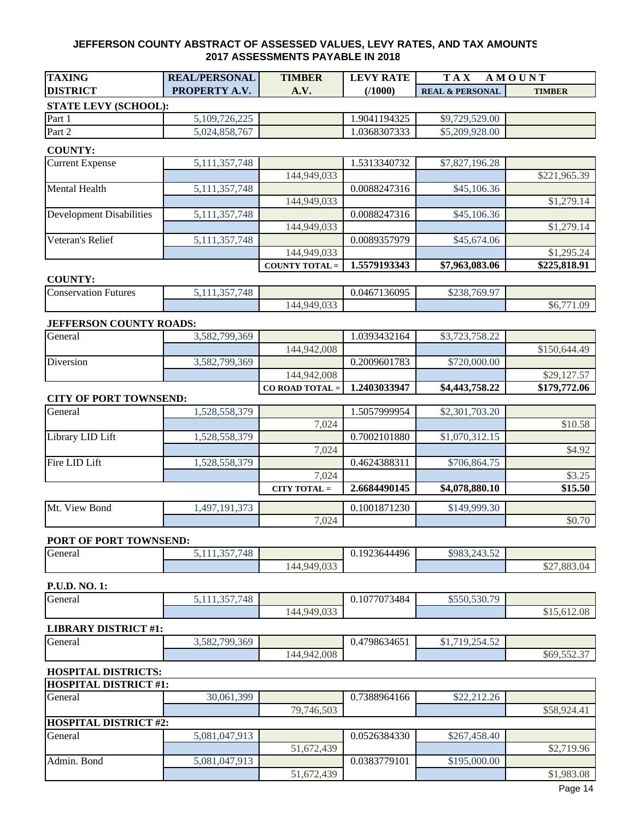| <b>TAXING</b>                   | <b>REAL/PERSONAL</b> | <b>TIMBER</b>         | <b>LEVY RATE</b>          | <b>TAX</b><br>AMOUNT       |                          |  |  |
|---------------------------------|----------------------|-----------------------|---------------------------|----------------------------|--------------------------|--|--|
| <b>DISTRICT</b>                 | PROPERTY A.V.        | A.V.                  | (1000)                    | <b>REAL &amp; PERSONAL</b> | <b>TIMBER</b>            |  |  |
| <b>STATE LEVY (SCHOOL):</b>     |                      |                       |                           |                            |                          |  |  |
| Part 1                          | 5,109,726,225        |                       | 1.9041194325              | \$9,729,529.00             |                          |  |  |
| Part 2                          | 5,024,858,767        |                       | 1.0368307333              | \$5,209,928.00             |                          |  |  |
|                                 |                      |                       |                           |                            |                          |  |  |
| <b>COUNTY:</b>                  |                      |                       |                           |                            |                          |  |  |
| <b>Current Expense</b>          | 5,111,357,748        |                       | 1.5313340732              | \$7,827,196.28             |                          |  |  |
|                                 |                      | 144,949,033           |                           |                            | \$221,965.39             |  |  |
| Mental Health                   | 5,111,357,748        |                       | 0.0088247316              | \$45,106.36                |                          |  |  |
|                                 |                      | 144,949,033           |                           |                            | \$1,279.14               |  |  |
| <b>Development Disabilities</b> | 5, 111, 357, 748     |                       | 0.0088247316              | \$45,106.36                |                          |  |  |
|                                 |                      | 144,949,033           |                           |                            | \$1,279.14               |  |  |
| Veteran's Relief                | 5, 111, 357, 748     |                       | 0.0089357979              | \$45,674.06                |                          |  |  |
|                                 |                      | 144,949,033           |                           |                            | \$1,295.24               |  |  |
|                                 |                      | <b>COUNTY TOTAL =</b> | 1.5579193343              | \$7,963,083.06             | \$225,818.91             |  |  |
| <b>COUNTY:</b>                  |                      |                       |                           |                            |                          |  |  |
| <b>Conservation Futures</b>     | 5, 111, 357, 748     |                       | $0.0467\overline{136095}$ | \$238,769.97               |                          |  |  |
|                                 |                      | 144,949,033           |                           |                            | \$6,771.09               |  |  |
|                                 |                      |                       |                           |                            |                          |  |  |
| JEFFERSON COUNTY ROADS:         |                      |                       |                           |                            |                          |  |  |
| General                         | 3,582,799,369        |                       | 1.0393432164              | \$3,723,758.22             |                          |  |  |
|                                 |                      | 144,942,008           |                           |                            | \$150,644.49             |  |  |
| Diversion                       | 3,582,799,369        |                       | 0.2009601783              | \$720,000.00               |                          |  |  |
|                                 |                      | 144,942,008           |                           |                            | \$29,127.57              |  |  |
|                                 |                      | CO ROAD TOTAL =       | 1.2403033947              | \$4,443,758.22             | $\overline{$}179,772.06$ |  |  |
| <b>CITY OF PORT TOWNSEND:</b>   |                      |                       |                           |                            |                          |  |  |
| General                         | 1,528,558,379        |                       | 1.5057999954              | \$2,301,703.20             |                          |  |  |
|                                 |                      | 7,024                 |                           |                            | \$10.58                  |  |  |
| Library LID Lift                | 1,528,558,379        |                       | 0.7002101880              | \$1,070,312.15             |                          |  |  |
|                                 |                      | 7,024                 |                           |                            | \$4.92                   |  |  |
| Fire LID Lift                   | 1,528,558,379        |                       | 0.4624388311              | \$706,864.75               |                          |  |  |
|                                 |                      | 7,024                 |                           |                            | \$3.25                   |  |  |
|                                 |                      | <b>CITY TOTAL</b> =   | 2.6684490145              | \$4,078,880.10             | \$15.50                  |  |  |
| Mt. View Bond                   | 1,497,191,373        |                       | 0.1001871230              | \$149,999.30               |                          |  |  |
|                                 |                      | 7,024                 |                           |                            | \$0.70                   |  |  |
|                                 |                      |                       |                           |                            |                          |  |  |
| PORT OF PORT TOWNSEND:          |                      |                       |                           |                            |                          |  |  |
| General                         | 5,111,357,748        |                       | 0.1923644496              | \$983,243.52               |                          |  |  |
|                                 |                      | 144,949,033           |                           |                            | \$27,883.04              |  |  |
| P.U.D. NO. 1:                   |                      |                       |                           |                            |                          |  |  |
| General                         | 5,111,357,748        |                       | 0.1077073484              | \$550,530.79               |                          |  |  |
|                                 |                      | 144,949,033           |                           |                            | \$15,612.08              |  |  |
|                                 |                      |                       |                           |                            |                          |  |  |
| <b>LIBRARY DISTRICT #1:</b>     |                      |                       |                           |                            |                          |  |  |
| General                         | 3,582,799,369        |                       | 0.4798634651              | \$1,719,254.52             |                          |  |  |
|                                 |                      | 144,942,008           |                           |                            | \$69,552.37              |  |  |
| <b>HOSPITAL DISTRICTS:</b>      |                      |                       |                           |                            |                          |  |  |
| <b>HOSPITAL DISTRICT #1:</b>    |                      |                       |                           |                            |                          |  |  |
| General                         | 30,061,399           |                       | 0.7388964166              | \$22,212.26                |                          |  |  |
|                                 |                      | 79,746,503            |                           |                            | \$58,924.41              |  |  |
| <b>HOSPITAL DISTRICT #2:</b>    |                      |                       |                           |                            |                          |  |  |
| General                         | 5,081,047,913        |                       | 0.0526384330              | \$267,458.40               |                          |  |  |
|                                 |                      | 51,672,439            |                           |                            | \$2,719.96               |  |  |
| Admin. Bond                     | 5,081,047,913        |                       | 0.0383779101              | \$195,000.00               |                          |  |  |
|                                 |                      | 51,672,439            |                           |                            | \$1,983.08               |  |  |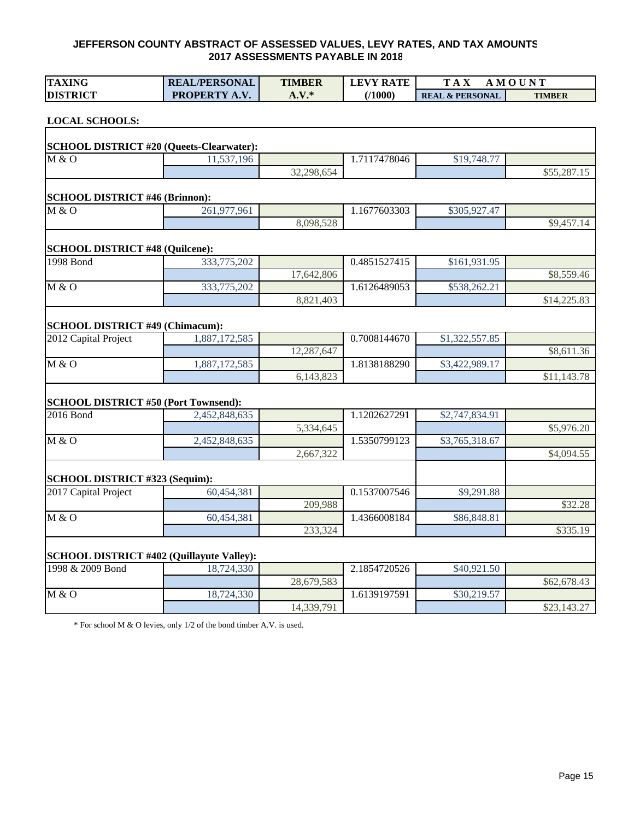| <b>TAXING</b>                                    | <b>REAL/PERSONAL</b> | <b>TIMBER</b> | <b>LEVY RATE</b> | <b>TAX</b><br><b>AMOUNT</b> |                        |  |  |
|--------------------------------------------------|----------------------|---------------|------------------|-----------------------------|------------------------|--|--|
| <b>DISTRICT</b>                                  | PROPERTY A.V.        | $A.V.*$       | (1000)           | <b>REAL &amp; PERSONAL</b>  | <b>TIMBER</b>          |  |  |
|                                                  |                      |               |                  |                             |                        |  |  |
| <b>LOCAL SCHOOLS:</b>                            |                      |               |                  |                             |                        |  |  |
| <b>SCHOOL DISTRICT #20 (Queets-Clearwater):</b>  |                      |               |                  |                             |                        |  |  |
| M & O                                            | 11,537,196           |               | 1.7117478046     | \$19,748.77                 |                        |  |  |
|                                                  |                      | 32,298,654    |                  |                             | \$55,287.15            |  |  |
|                                                  |                      |               |                  |                             |                        |  |  |
| <b>SCHOOL DISTRICT #46 (Brinnon):</b><br>M & O   | 261,977,961          |               | 1.1677603303     | \$305,927.47                |                        |  |  |
|                                                  |                      | 8,098,528     |                  |                             | \$9,457.14             |  |  |
|                                                  |                      |               |                  |                             |                        |  |  |
| SCHOOL DISTRICT #48 (Quilcene):                  |                      |               |                  |                             |                        |  |  |
| 1998 Bond                                        | 333,775,202          |               | 0.4851527415     | \$161,931.95                |                        |  |  |
|                                                  |                      | 17,642,806    |                  |                             | \$8,559.46             |  |  |
| M & O                                            | 333,775,202          |               | 1.6126489053     | \$538,262.21                |                        |  |  |
|                                                  |                      | 8,821,403     |                  |                             | \$14,225.83            |  |  |
| <b>SCHOOL DISTRICT #49 (Chimacum):</b>           |                      |               |                  |                             |                        |  |  |
| 2012 Capital Project                             | 1,887,172,585        |               | 0.7008144670     | \$1,322,557.85              |                        |  |  |
|                                                  |                      | 12,287,647    |                  |                             | $\overline{$8,611.36}$ |  |  |
| M & O                                            | 1,887,172,585        |               | 1.8138188290     | \$3,422,989.17              |                        |  |  |
|                                                  |                      | 6,143,823     |                  |                             | \$11,143.78            |  |  |
|                                                  |                      |               |                  |                             |                        |  |  |
| <b>SCHOOL DISTRICT #50 (Port Townsend):</b>      |                      |               |                  |                             |                        |  |  |
| 2016 Bond                                        | 2,452,848,635        |               | 1.1202627291     | \$2,747,834.91              |                        |  |  |
|                                                  |                      | 5,334,645     |                  |                             | \$5,976.20             |  |  |
| M & O                                            | 2,452,848,635        | 2,667,322     | 1.5350799123     | \$3,765,318.67              | \$4,094.55             |  |  |
|                                                  |                      |               |                  |                             |                        |  |  |
| SCHOOL DISTRICT #323 (Sequim):                   |                      |               |                  |                             |                        |  |  |
| 2017 Capital Project                             | 60,454,381           |               | 0.1537007546     | \$9,291.88                  |                        |  |  |
|                                                  |                      | 209,988       |                  |                             | \$32.28                |  |  |
| M & O                                            | 60,454,381           |               | 1.4366008184     | \$86,848.81                 |                        |  |  |
|                                                  |                      | 233,324       |                  |                             | \$335.19               |  |  |
| <b>SCHOOL DISTRICT #402 (Quillayute Valley):</b> |                      |               |                  |                             |                        |  |  |
| 1998 & 2009 Bond                                 | 18,724,330           |               | 2.1854720526     | \$40,921.50                 |                        |  |  |
|                                                  |                      | 28,679,583    |                  |                             | \$62,678.43            |  |  |
| M & O                                            | 18,724,330           |               | 1.6139197591     | \$30,219.57                 |                        |  |  |
|                                                  |                      | 14,339,791    |                  |                             | \$23,143.27            |  |  |

 $*$  For school M & O levies, only 1/2 of the bond timber A.V. is used.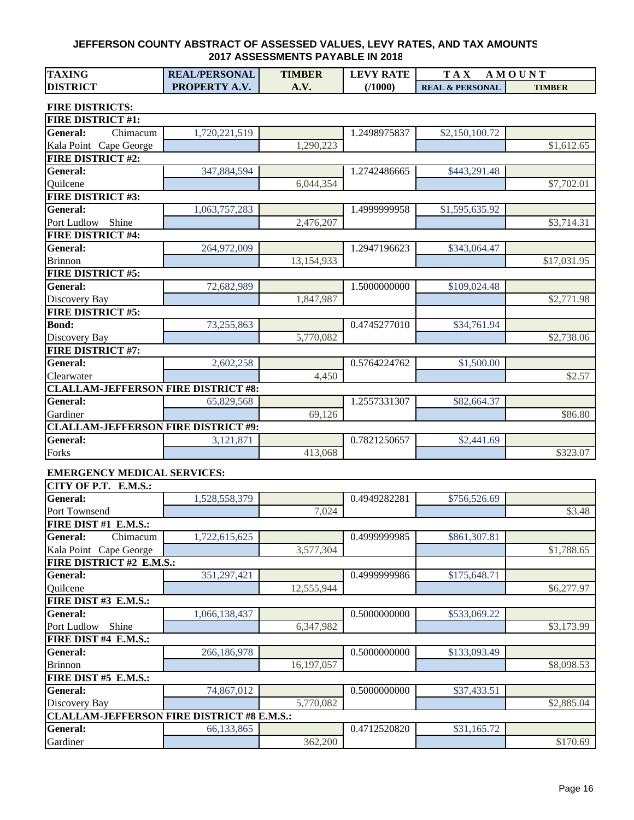| <b>TAXING</b>                                     | <b>REAL/PERSONAL</b> | <b>LEVY RATE</b><br><b>TIMBER</b><br><b>TAX</b> |              | AMOUNT                     |               |  |
|---------------------------------------------------|----------------------|-------------------------------------------------|--------------|----------------------------|---------------|--|
| <b>DISTRICT</b>                                   | PROPERTY A.V.        | A.V.                                            | (1000)       | <b>REAL &amp; PERSONAL</b> | <b>TIMBER</b> |  |
| <b>FIRE DISTRICTS:</b>                            |                      |                                                 |              |                            |               |  |
| <b>FIRE DISTRICT #1:</b>                          |                      |                                                 |              |                            |               |  |
| <b>General:</b><br>Chimacum                       | 1,720,221,519        |                                                 | 1.2498975837 | \$2,150,100.72             |               |  |
| Kala Point Cape George                            |                      | 1,290,223                                       |              |                            | \$1,612.65    |  |
| <b>FIRE DISTRICT #2:</b>                          |                      |                                                 |              |                            |               |  |
| General:                                          | 347,884,594          |                                                 | 1.2742486665 | \$443,291.48               |               |  |
| Quilcene                                          |                      | 6,044,354                                       |              |                            | \$7,702.01    |  |
| <b>FIRE DISTRICT #3:</b>                          |                      |                                                 |              |                            |               |  |
| <b>General:</b>                                   | 1,063,757,283        |                                                 | 1.4999999958 | \$1,595,635.92             |               |  |
| Port Ludlow<br>Shine                              |                      | 2,476,207                                       |              |                            | \$3,714.31    |  |
| <b>FIRE DISTRICT #4:</b>                          |                      |                                                 |              |                            |               |  |
| <b>General:</b>                                   | 264,972,009          |                                                 | 1.2947196623 | \$343,064.47               |               |  |
| <b>Brinnon</b>                                    |                      | 13,154,933                                      |              |                            | \$17,031.95   |  |
| <b>FIRE DISTRICT #5:</b>                          |                      |                                                 |              |                            |               |  |
| <b>General:</b>                                   | 72,682,989           |                                                 | 1.5000000000 | \$109,024.48               |               |  |
| Discovery Bay                                     |                      | 1,847,987                                       |              |                            | \$2,771.98    |  |
| <b>FIRE DISTRICT #5:</b>                          |                      |                                                 |              |                            |               |  |
| <b>Bond:</b>                                      | 73,255,863           |                                                 | 0.4745277010 | \$34,761.94                |               |  |
| Discovery Bay                                     |                      | 5,770,082                                       |              |                            | \$2,738.06    |  |
| <b>FIRE DISTRICT #7:</b>                          |                      |                                                 |              |                            |               |  |
| <b>General:</b>                                   | 2,602,258            |                                                 | 0.5764224762 | \$1,500.00                 |               |  |
| Clearwater                                        |                      | 4,450                                           |              |                            | \$2.57        |  |
| <b>CLALLAM-JEFFERSON FIRE DISTRICT #8:</b>        |                      |                                                 |              |                            |               |  |
| <b>General:</b>                                   | 65,829,568           |                                                 | 1.2557331307 | \$82,664.37                |               |  |
| Gardiner                                          |                      | 69,126                                          |              |                            | \$86.80       |  |
| <b>CLALLAM-JEFFERSON FIRE DISTRICT #9:</b>        |                      |                                                 |              |                            |               |  |
| <b>General:</b>                                   | 3,121,871            |                                                 | 0.7821250657 | \$2,441.69                 |               |  |
| Forks                                             |                      | 413,068                                         |              |                            | \$323.07      |  |
| <b>EMERGENCY MEDICAL SERVICES:</b>                |                      |                                                 |              |                            |               |  |
| CITY OF P.T. E.M.S.:                              |                      |                                                 |              |                            |               |  |
| <b>General:</b>                                   | 1,528,558,379        |                                                 | 0.4949282281 | \$756,526.69               |               |  |
| Port Townsend                                     |                      | 7,024                                           |              |                            | \$3.48        |  |
| FIRE DIST #1 E.M.S.:                              |                      |                                                 |              |                            |               |  |
| General:<br>$\overline{\text{Chimacum}}$          | 1,722,615,625        |                                                 | 0.4999999985 | \$861,307.81               |               |  |
| Kala Point Cape George                            |                      | 3,577,304                                       |              |                            | \$1,788.65    |  |
| FIRE DISTRICT #2 E.M.S.:                          |                      |                                                 |              |                            |               |  |
| <b>General:</b>                                   | 351,297,421          |                                                 | 0.4999999986 | \$175,648.71               |               |  |
| Quilcene                                          |                      | 12,555,944                                      |              |                            | \$6,277.97    |  |
| FIRE DIST #3 E.M.S.:                              |                      |                                                 |              |                            |               |  |
| <b>General:</b>                                   | 1,066,138,437        |                                                 | 0.5000000000 | \$533,069.22               |               |  |
| Port Ludlow<br>Shine                              |                      | 6,347,982                                       |              |                            | \$3,173.99    |  |
| FIRE DIST #4 E.M.S.:                              |                      |                                                 |              |                            |               |  |
| <b>General:</b>                                   | 266,186,978          |                                                 | 0.5000000000 | \$133,093.49               |               |  |
| <b>Brinnon</b>                                    |                      | 16,197,057                                      |              |                            | \$8,098.53    |  |
| FIRE DIST #5 $E.M.S.:$                            |                      |                                                 |              |                            |               |  |
| <b>General:</b>                                   | 74,867,012           |                                                 | 0.5000000000 | \$37,433.51                |               |  |
| Discovery Bay                                     |                      | 5,770,082                                       |              |                            | \$2,885.04    |  |
| <b>CLALLAM-JEFFERSON FIRE DISTRICT #8 E.M.S.:</b> |                      |                                                 |              |                            |               |  |
| <b>General:</b>                                   | 66,133,865           |                                                 | 0.4712520820 | \$31,165.72                |               |  |
| Gardiner                                          |                      | 362,200                                         |              |                            | \$170.69      |  |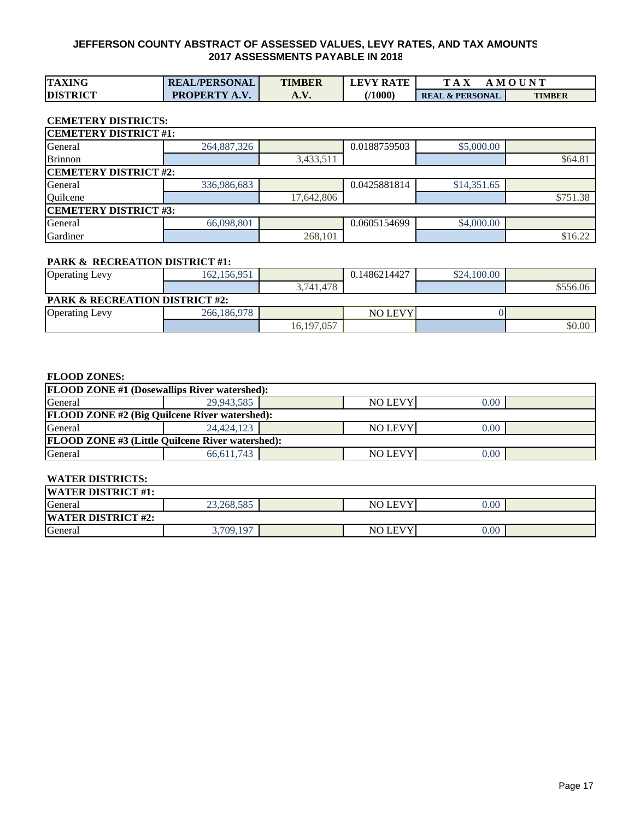| <b>TAXING</b>   | <b>REAL/PERSONAL</b> | <b>TIMBER</b> | <b>LEVY RATE</b> | T A X                      | AMOUNT        |
|-----------------|----------------------|---------------|------------------|----------------------------|---------------|
| <b>DISTRICT</b> | <b>PROPERTY A.V.</b> | A. V.         | 71000)           | <b>REAL &amp; PERSONAL</b> | <b>TIMBER</b> |

#### **CEMETERY DISTRICTS:**

| <b>CEMETERY DISTRICT #1:</b> |             |            |              |             |          |  |  |  |  |  |
|------------------------------|-------------|------------|--------------|-------------|----------|--|--|--|--|--|
| General                      | 264,887,326 |            | 0.0188759503 | \$5,000.00  |          |  |  |  |  |  |
| <b>Brinnon</b>               |             | 3,433,511  |              |             | \$64.81  |  |  |  |  |  |
| <b>CEMETERY DISTRICT #2:</b> |             |            |              |             |          |  |  |  |  |  |
| General                      | 336,986,683 |            | 0.0425881814 | \$14,351.65 |          |  |  |  |  |  |
| Quilcene                     |             | 17.642.806 |              |             | \$751.38 |  |  |  |  |  |
| <b>CEMETERY DISTRICT #3:</b> |             |            |              |             |          |  |  |  |  |  |
| General                      | 66,098,801  |            | 0.0605154699 | \$4,000.00  |          |  |  |  |  |  |
| Gardiner                     |             | 268,101    |              |             | \$16.22  |  |  |  |  |  |

#### **PARK & RECREATION DISTRICT #1:**

| <b>Operating Levy</b>                     | 162,156,951 |            | 0.1486214427   | \$24,100.00 |          |  |  |  |  |  |
|-------------------------------------------|-------------|------------|----------------|-------------|----------|--|--|--|--|--|
|                                           |             | 3.741.478  |                |             | \$556.06 |  |  |  |  |  |
| <b>PARK &amp; RECREATION DISTRICT #2:</b> |             |            |                |             |          |  |  |  |  |  |
| <b>Operating Levy</b>                     | 266,186,978 |            | <b>NO LEVY</b> |             |          |  |  |  |  |  |
|                                           |             | 16,197,057 |                |             | \$0.00   |  |  |  |  |  |

#### **FLOOD ZONES:**

| <b>FLOOD ZONE #1 (Dosewallips River watershed):</b>     |            |  |                |      |  |  |  |  |  |  |
|---------------------------------------------------------|------------|--|----------------|------|--|--|--|--|--|--|
| General                                                 | 29.943.585 |  | <b>NO LEVY</b> | 0.00 |  |  |  |  |  |  |
| <b>FLOOD ZONE #2 (Big Quilcene River watershed):</b>    |            |  |                |      |  |  |  |  |  |  |
| General                                                 | 24,424,123 |  | <b>NO LEVY</b> | 0.00 |  |  |  |  |  |  |
| <b>FLOOD ZONE #3 (Little Quilcene River watershed):</b> |            |  |                |      |  |  |  |  |  |  |
| General                                                 | 66.611.743 |  | <b>NO LEVY</b> | 0.00 |  |  |  |  |  |  |

#### **WATER DISTRICTS:**

| <b>WATER DISTRICT #1:</b> |            |  |                      |      |  |  |  |  |  |  |
|---------------------------|------------|--|----------------------|------|--|--|--|--|--|--|
| General                   | 23,268,585 |  | NO LEVY              | 0.00 |  |  |  |  |  |  |
| <b>WATER DISTRICT #2:</b> |            |  |                      |      |  |  |  |  |  |  |
| General                   | 3,709,197  |  | $\mathbf{T}$<br>NO L | 0.00 |  |  |  |  |  |  |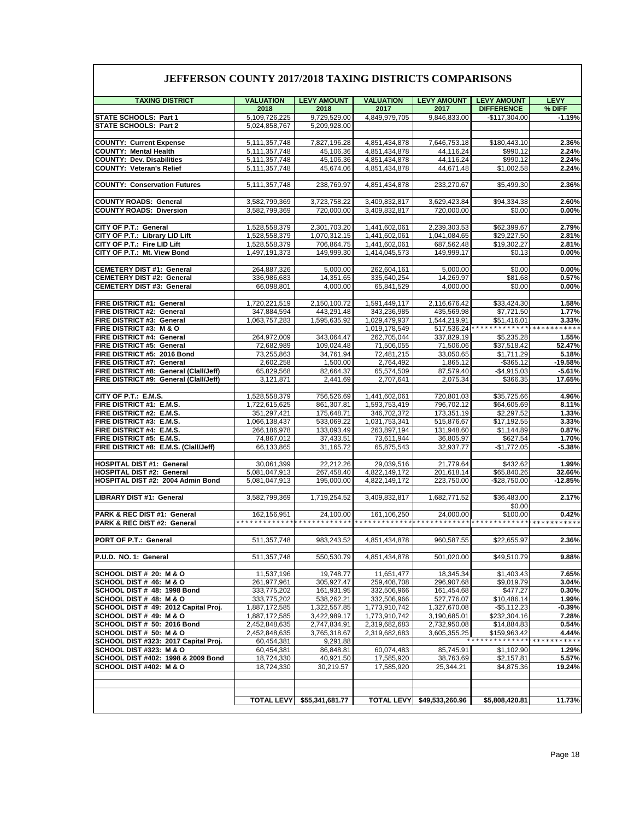| <b>TAXING DISTRICT</b>                                                | <b>VALUATION</b><br>2018                 | <b>LEVY AMOUNT</b><br>2018             | <b>VALUATION</b>                         | <b>LEVY AMOUNT</b><br>2017           | <b>LEVY AMOUNT</b><br><b>DIFFERENCE</b> | LEVY<br>% DIFF                 |
|-----------------------------------------------------------------------|------------------------------------------|----------------------------------------|------------------------------------------|--------------------------------------|-----------------------------------------|--------------------------------|
| STATE SCHOOLS: Part 1                                                 | 5,109,726,225                            | 9,729,529.00                           | 2017<br>4,849,979,705                    | 9,846,833.00                         | $-$117,304.00$                          | $-1.19%$                       |
| STATE SCHOOLS: Part 2                                                 | 5.024.858.767                            | 5,209,928.00                           |                                          |                                      |                                         |                                |
|                                                                       |                                          |                                        |                                          |                                      |                                         |                                |
| <b>COUNTY: Current Expense</b>                                        | 5,111,357,748                            | 7,827,196.28                           | 4,851,434,878                            | 7,646,753.18                         | \$180,443.10                            | 2.36%                          |
| <b>COUNTY: Mental Health</b><br><b>COUNTY: Dev. Disabilities</b>      | 5,111,357,748<br>5,111,357,748           | 45,106.36<br>45,106.36                 | 4,851,434,878<br>4,851,434,878           | 44,116.24<br>44,116.24               | \$990.12<br>\$990.12                    | 2.24%<br>2.24%                 |
| <b>COUNTY: Veteran's Relief</b>                                       | 5,111,357,748                            | 45,674.06                              | 4.851.434.878                            | 44,671.48                            | \$1,002.58                              | 2.24%                          |
|                                                                       |                                          |                                        |                                          |                                      |                                         |                                |
| <b>COUNTY: Conservation Futures</b>                                   | 5,111,357,748                            | 238,769.97                             | 4,851,434,878                            | 233,270.67                           | \$5,499.30                              | 2.36%                          |
| <b>COUNTY ROADS: General</b>                                          | 3,582,799,369                            | 3,723,758.22                           | 3,409,832,817                            | 3,629,423.84                         | \$94,334.38                             | 2.60%                          |
| <b>COUNTY ROADS: Diversion</b>                                        | 3,582,799,369                            | 720,000.00                             | 3,409,832,817                            | 720,000.00                           | \$0.00                                  | 0.00%                          |
|                                                                       |                                          |                                        |                                          |                                      |                                         |                                |
| CITY OF P.T.: General                                                 | 1,528,558,379                            | 2,301,703.20                           | 1,441,602,061                            | 2,239,303.53                         | \$62,399.67                             | 2.79%                          |
| CITY OF P.T.: Library LID Lift                                        | 1,528,558,379                            | 1,070,312.15                           | 1,441,602,061                            | 1,041,084.65                         | \$29,227.50                             | 2.81%                          |
| CITY OF P.T.: Fire LID Lift<br>CITY OF P.T.: Mt. View Bond            | 1,528,558,379<br>1,497,191,373           | 706,864.75<br>149,999.30               | 1,441,602,061<br>1,414,045,573           | 687,562.48<br>149,999.17             | \$19,302.27<br>\$0.13                   | 2.81%<br>0.00%                 |
|                                                                       |                                          |                                        |                                          |                                      |                                         |                                |
| <b>CEMETERY DIST #1: General</b>                                      | 264,887,326                              | 5,000.00                               | 262,604,161                              | 5,000.00                             | \$0.00                                  | 0.00%                          |
| <b>CEMETERY DIST #2: General</b>                                      | 336,986,683                              | 14,351.65                              | 335,640,254                              | 14,269.97                            | \$81.68                                 | 0.57%                          |
| <b>CEMETERY DIST #3: General</b>                                      | 66,098,801                               | 4.000.00                               | 65.841.529                               | 4.000.00                             | \$0.00                                  | 0.00%                          |
| FIRE DISTRICT #1: General                                             | 1.720.221.519                            | 2,150,100.72                           | 1,591,449,117                            | 2,116,676.42                         | \$33,424.30                             | 1.58%                          |
| FIRE DISTRICT #2: General                                             | 347,884,594                              | 443,291.48                             | 343.236.985                              | 435.569.98                           | \$7,721.50                              | 1.77%                          |
| FIRE DISTRICT #3: General                                             | 1.063.757.283                            | 1,595,635.92                           | 1.029.479.937                            | 1,544,219.91                         | \$51,416.01                             | 3.33%                          |
| FIRE DISTRICT #3: M & O                                               |                                          |                                        | 1,019,178,549                            | 517,536.24                           | * * * * * * * * * * * *                 | * * * * * * * * * * *          |
| FIRE DISTRICT #4: General<br>FIRE DISTRICT #5: General                | 264,972,009<br>72.682.989                | 343,064.47<br>109,024.48               | 262,705,044<br>71.506.055                | 337,829.19<br>71,506.06              | \$5,235.28<br>\$37,518.42               | 1.55%<br>52.47%                |
| FIRE DISTRICT #5: 2016 Bond                                           | 73,255,863                               | 34,761.94                              | 72,481,215                               | 33,050.65                            | \$1,711.29                              | 5.18%                          |
| FIRE DISTRICT #7: General                                             | 2,602,258                                | 1,500.00                               | 2,764,492                                | 1,865.12                             | $-$ \$365.12                            | $-19.58%$                      |
| FIRE DISTRICT #8: General (Clall/Jeff)                                | 65,829,568                               | 82,664.37                              | 65,574,509                               | 87,579.40                            | $-$4,915.03$                            | $-5.61%$                       |
| FIRE DISTRICT #9: General (Clall/Jeff)                                | 3,121,871                                | 2,441.69                               | 2,707,641                                | 2,075.34                             | \$366.35                                | 17.65%                         |
| CITY OF P.T.: E.M.S.                                                  | 1,528,558,379                            | 756,526.69                             | 1,441,602,061                            | 720,801.03                           | \$35,725.66                             | 4.96%                          |
| FIRE DISTRICT #1: E.M.S.                                              | 1,722,615,625                            | 861,307.81                             | 1,593,753,419                            | 796,702.12                           | \$64,605.69                             | 8.11%                          |
| FIRE DISTRICT #2: E.M.S.                                              | 351,297,421                              | 175,648.71                             | 346,702,372                              | 173,351.19                           | \$2,297.52                              | 1.33%                          |
| FIRE DISTRICT #3: E.M.S.<br>FIRE DISTRICT #4: E.M.S.                  | 1,066,138,437<br>266,186,978             | 533,069.22<br>133,093.49               | 1,031,753,341<br>263,897,194             | 515,876.67<br>131,948.60             | \$17,192.55<br>\$1,144.89               | 3.33%<br>0.87%                 |
| FIRE DISTRICT #5: E.M.S.                                              | 74,867,012                               | 37,433.51                              | 73,611,944                               | 36,805.97                            | \$627.54                                | 1.70%                          |
| FIRE DISTRICT #8: E.M.S. (Clall/Jeff)                                 | 66,133,865                               | 31,165.72                              | 65,875,543                               | 32,937.77                            | $-$1,772.05$                            | $-5.38%$                       |
|                                                                       |                                          |                                        |                                          |                                      |                                         |                                |
| <b>HOSPITAL DIST #1: General</b>                                      | 30,061,399                               | 22,212.26                              | 29,039,516<br>4.822.149.172              | 21,779.64<br>201.618.14              | \$432.62                                | 1.99%                          |
| <b>HOSPITAL DIST #2: General</b><br>HOSPITAL DIST #2: 2004 Admin Bond | 5,081,047,913<br>5,081,047,913           | 267,458.40<br>195,000.00               | 4,822,149,172                            | 223,750.00                           | \$65,840.26<br>$-$28,750.00$            | 32.66%<br>$-12.85%$            |
|                                                                       |                                          |                                        |                                          |                                      |                                         |                                |
| LIBRARY DIST #1: General                                              | 3,582,799,369                            | 1,719,254.52                           | 3.409.832.817                            | 1,682,771.52                         | \$36,483.00                             | 2.17%                          |
| PARK & REC DIST #1: General                                           |                                          |                                        |                                          |                                      | \$0.00<br>\$100.00                      |                                |
| PARK & REC DIST #2: General                                           | 162,156,951<br>* * * * * * * * * * * * * | 24,100.00<br>* * * * * * * * * * * * * | 161,106,250<br>* * * * * * * * * * * * * | 24,000.00<br>* * * * * * * * * * * * | * * * * * * * * * * * * *               | 0.42%<br>* * * * * * * * * * * |
|                                                                       |                                          |                                        |                                          |                                      |                                         |                                |
| PORT OF P.T.: General                                                 | 511,357,748                              | 983,243.52                             | 4,851,434,878                            | 960,587.55                           | \$22,655.97                             | 2.36%                          |
|                                                                       |                                          |                                        |                                          |                                      |                                         | 9.88%                          |
| P.U.D. NO. 1: General                                                 | 511,357,748                              | 550,530.79                             | 4,851,434,878                            | 501,020.00                           | \$49,510.79                             |                                |
| SCHOOL DIST # 20: M & O                                               | 11,537,196                               | 19,748.77                              | 11,651,477                               | 18,345.34                            | \$1,403.43                              | 7.65%                          |
| SCHOOL DIST # 46: M & O                                               | 261,977,961                              | 305,927.47                             | 259,408,708                              | 296,907.68                           | \$9,019.79                              | 3.04%                          |
| SCHOOL DIST # 48: 1998 Bond                                           | 333,775,202                              | 161,931.95                             | 332,506,966                              | 161,454.68                           | \$477.27                                | 0.30%                          |
| SCHOOL DIST # 48: M & O<br>SCHOOL DIST # 49: 2012 Capital Proj.       | 333,775,202<br>1,887,172,585             | 538,262.21<br>1,322,557.85             | 332,506,966<br>1,773,910,742             | 527,776.07<br>1,327,670.08           | \$10,486.14<br>$-$5,112.23$             | 1.99%<br>$-0.39%$              |
| SCHOOL DIST # 49: M & O                                               | 1,887,172,585                            | 3,422,989.17                           | 1,773,910,742                            | 3,190,685.01                         | \$232,304.16                            | 7.28%                          |
| SCHOOL DIST # 50: 2016 Bond                                           | 2.452.848.635                            | 2,747,834.91                           | 2,319,682,683                            | 2,732,950.08                         | \$14,884.83                             | 0.54%                          |
| SCHOOL DIST # 50: M & O                                               | 2,452,848,635                            | 3,765,318.67                           | 2,319,682,683                            | 3,605,355.25                         | \$159,963.42                            | 4.44%                          |
| SCHOOL DIST #323: 2017 Capital Proj.                                  | 60,454,381                               | 9,291.88                               |                                          |                                      | * * * * * * * * * * * * * *             | * * * * * *<br>* * * * *       |
| SCHOOL DIST #323: M & O<br>SCHOOL DIST #402: 1998 & 2009 Bond         | 60.454.381<br>18,724,330                 | 86,848.81<br>40,921.50                 | 60,074,483<br>17,585,920                 | 85,745.91<br>38,763.69               | \$1,102.90<br>\$2,157.81                | 1.29%<br>5.57%                 |
| SCHOOL DIST #402: M & O                                               | 18,724,330                               | 30,219.57                              | 17,585,920                               | 25,344.21                            | \$4,875.36                              | 19.24%                         |
|                                                                       |                                          |                                        |                                          |                                      |                                         |                                |
|                                                                       |                                          |                                        |                                          |                                      |                                         |                                |
|                                                                       |                                          | TOTAL LEVY \$55,341,681.77             |                                          | TOTAL LEVY \$49,533,260.96           | \$5,808,420.81                          | 11.73%                         |
|                                                                       |                                          |                                        |                                          |                                      |                                         |                                |

#### **JEFFERSON COUNTY 2017/2018 TAXING DISTRICTS COMPARISONS**